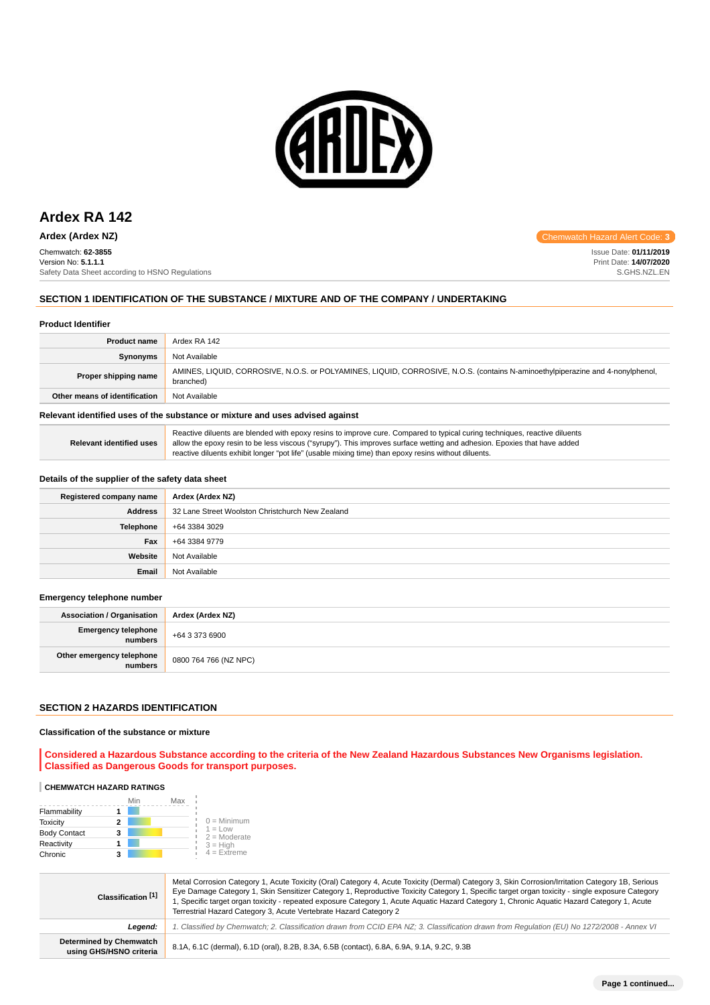

# **Ardex RA 142**

Chemwatch: **62-3855** Version No: **5.1.1.1** Safety Data Sheet according to HSNO Regulations

## **SECTION 1 IDENTIFICATION OF THE SUBSTANCE / MIXTURE AND OF THE COMPANY / UNDERTAKING**

#### **Product Identifier**

| <b>Product name</b>                                                           | Ardex RA 142                                                                                                                                |  |
|-------------------------------------------------------------------------------|---------------------------------------------------------------------------------------------------------------------------------------------|--|
| <b>Synonyms</b>                                                               | Not Available                                                                                                                               |  |
| Proper shipping name                                                          | AMINES, LIQUID, CORROSIVE, N.O.S. or POLYAMINES, LIQUID, CORROSIVE, N.O.S. (contains N-aminoethylpiperazine and 4-nonylphenol,<br>branched) |  |
| Other means of identification                                                 | Not Available                                                                                                                               |  |
| Relevant identified uses of the substance or mixture and uses advised against |                                                                                                                                             |  |

| Relevant identified uses | Reactive diluents are blended with epoxy resins to improve cure. Compared to typical curing techniques, reactive diluents<br>allow the epoxy resin to be less viscous ("syrupy"). This improves surface wetting and adhesion. Epoxies that have added |
|--------------------------|-------------------------------------------------------------------------------------------------------------------------------------------------------------------------------------------------------------------------------------------------------|
|                          | reactive diluents exhibit longer "pot life" (usable mixing time) than epoxy resins without diluents.                                                                                                                                                  |

#### **Details of the supplier of the safety data sheet**

| Registered company name | Ardex (Ardex NZ)                                 |
|-------------------------|--------------------------------------------------|
| <b>Address</b>          | 32 Lane Street Woolston Christchurch New Zealand |
| Telephone               | +64 3384 3029                                    |
| Fax                     | +64 3384 9779                                    |
| Website                 | Not Available                                    |
| Email                   | Not Available                                    |

#### **Emergency telephone number**

| <b>Association / Organisation</b>    | Ardex (Ardex NZ)      |
|--------------------------------------|-----------------------|
| Emergency telephone<br>numbers       | +64 3 373 6900        |
| Other emergency telephone<br>numbers | 0800 764 766 (NZ NPC) |

#### **SECTION 2 HAZARDS IDENTIFICATION**

#### **Classification of the substance or mixture**

**Considered a Hazardous Substance according to the criteria of the New Zealand Hazardous Substances New Organisms legislation. Classified as Dangerous Goods for transport purposes.**

#### **CHEMWATCH HAZARD RATINGS**

|                     | Min | Max |                             |
|---------------------|-----|-----|-----------------------------|
| Flammability        |     |     |                             |
| <b>Toxicity</b>     |     |     | $0 =$ Minimum               |
| <b>Body Contact</b> | 3   |     | $1 = Low$<br>$2 =$ Moderate |
| Reactivity          |     |     | $3 = H$ igh                 |
| Chronic             | 3   |     | $4$ = Extreme               |

| Classification <sup>[1]</sup>                      | Metal Corrosion Category 1, Acute Toxicity (Oral) Category 4, Acute Toxicity (Dermal) Category 3, Skin Corrosion/Irritation Category 1B, Serious<br>Eye Damage Category 1, Skin Sensitizer Category 1, Reproductive Toxicity Category 1, Specific target organ toxicity - single exposure Category<br>1, Specific target organ toxicity - repeated exposure Category 1, Acute Aquatic Hazard Category 1, Chronic Aquatic Hazard Category 1, Acute<br>Terrestrial Hazard Category 3, Acute Vertebrate Hazard Category 2 |  |  |
|----------------------------------------------------|------------------------------------------------------------------------------------------------------------------------------------------------------------------------------------------------------------------------------------------------------------------------------------------------------------------------------------------------------------------------------------------------------------------------------------------------------------------------------------------------------------------------|--|--|
| Leaend:                                            | 1. Classified by Chemwatch; 2. Classification drawn from CCID EPA NZ; 3. Classification drawn from Regulation (EU) No 1272/2008 - Annex VI                                                                                                                                                                                                                                                                                                                                                                             |  |  |
| Determined by Chemwatch<br>using GHS/HSNO criteria | 8.1A, 6.1C (dermal), 6.1D (oral), 8.2B, 8.3A, 6.5B (contact), 6.8A, 6.9A, 9.1A, 9.2C, 9.3B                                                                                                                                                                                                                                                                                                                                                                                                                             |  |  |

**Ardex (Ardex NZ) Chemwatch Hazard Alert Code: 3** 

Issue Date: **01/11/2019** Print Date: **14/07/2020** S.GHS.NZL.EN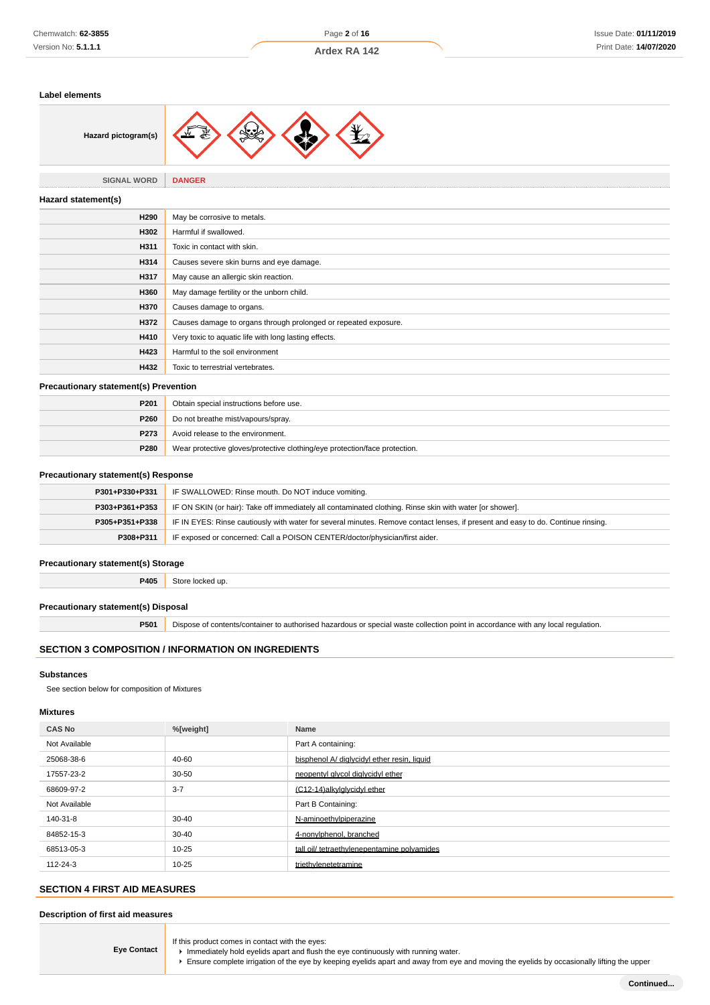#### **Label elements**



# **SIGNAL WORD DANGER**

| Hazard statement(s) |                                                                 |
|---------------------|-----------------------------------------------------------------|
| H290                | May be corrosive to metals.                                     |
| H302                | Harmful if swallowed.                                           |
| H311                | Toxic in contact with skin.                                     |
| H314                | Causes severe skin burns and eye damage.                        |
| H317                | May cause an allergic skin reaction.                            |
| H360                | May damage fertility or the unborn child.                       |
| H370                | Causes damage to organs.                                        |
| H372                | Causes damage to organs through prolonged or repeated exposure. |
| H410                | Very toxic to aquatic life with long lasting effects.           |
| H423                | Harmful to the soil environment                                 |
| H432                | Toxic to terrestrial vertebrates.                               |

## **Precautionary statement(s) Prevention**

| P <sub>201</sub> | Obtain special instructions before use.                                    |  |
|------------------|----------------------------------------------------------------------------|--|
| <b>P260</b>      | Do not breathe mist/vapours/spray.                                         |  |
| P273             | Avoid release to the environment.                                          |  |
| P280             | Wear protective gloves/protective clothing/eye protection/face protection. |  |

#### **Precautionary statement(s) Response**

| P301+P330+P331 | IF SWALLOWED: Rinse mouth. Do NOT induce vomiting.                                                                               |
|----------------|----------------------------------------------------------------------------------------------------------------------------------|
| P303+P361+P353 | IF ON SKIN (or hair): Take off immediately all contaminated clothing. Rinse skin with water [or shower].                         |
| P305+P351+P338 | IF IN EYES: Rinse cautiously with water for several minutes. Remove contact lenses, if present and easy to do. Continue rinsing. |
| P308+P311      | IF exposed or concerned: Call a POISON CENTER/doctor/physician/first aider.                                                      |

#### **Precautionary statement(s) Storage**

**P405** Store locked up.

## **Precautionary statement(s) Disposal**

**P501** Dispose of contents/container to authorised hazardous or special waste collection point in accordance with any local regulation.

## **SECTION 3 COMPOSITION / INFORMATION ON INGREDIENTS**

#### **Substances**

See section below for composition of Mixtures

#### **Mixtures**

| <b>CAS No</b> | %[weight] | Name                                        |
|---------------|-----------|---------------------------------------------|
| Not Available |           | Part A containing:                          |
| 25068-38-6    | 40-60     | bisphenol A/ diglycidyl ether resin, liquid |
| 17557-23-2    | $30 - 50$ | neopentyl glycol diglycidyl ether           |
| 68609-97-2    | $3 - 7$   | (C12-14) alkyl glycidy lether               |
| Not Available |           | Part B Containing:                          |
| 140-31-8      | $30 - 40$ | N-aminoethylpiperazine                      |
| 84852-15-3    | $30 - 40$ | 4-nonylphenol, branched                     |
| 68513-05-3    | $10 - 25$ | tall oil/ tetraethylenepentamine polyamides |
| 112-24-3      | $10 - 25$ | triethylenetetramine                        |

# **SECTION 4 FIRST AID MEASURES**

#### **Description of first aid measures**

**Eye Contact** If this product comes in contact with the eyes:

- Immediately hold eyelids apart and flush the eye continuously with running water.
- Ensure complete irrigation of the eye by keeping eyelids apart and away from eye and moving the eyelids by occasionally lifting the upper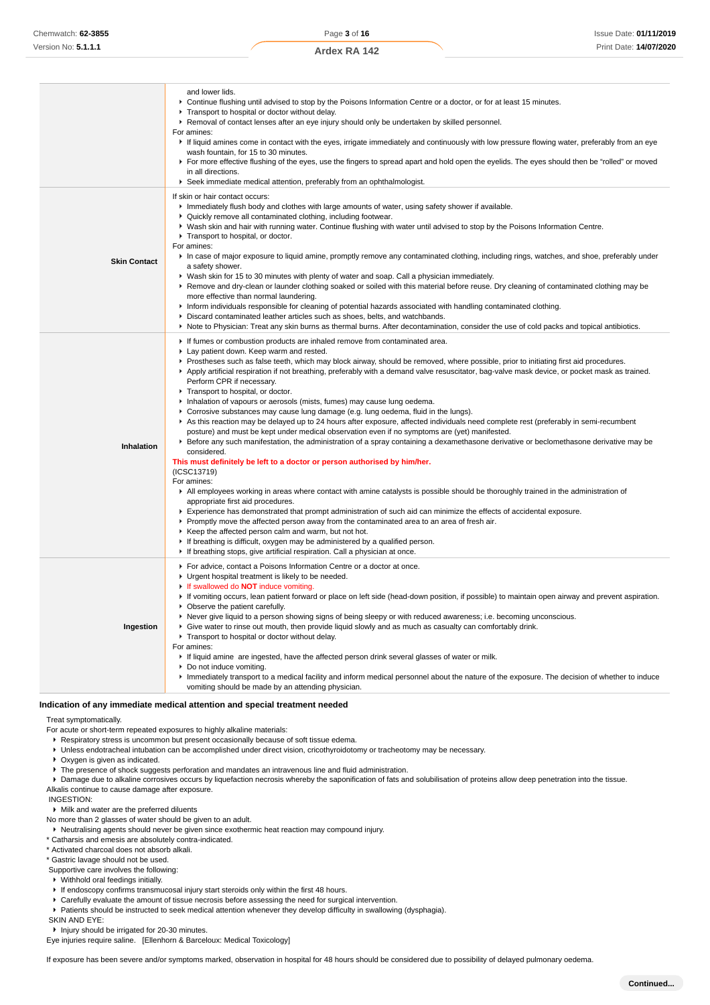|                     | and lower lids.<br>▶ Continue flushing until advised to stop by the Poisons Information Centre or a doctor, or for at least 15 minutes.<br>Transport to hospital or doctor without delay.<br>▶ Removal of contact lenses after an eye injury should only be undertaken by skilled personnel.<br>For amines:<br>If liquid amines come in contact with the eyes, irrigate immediately and continuously with low pressure flowing water, preferably from an eye<br>wash fountain, for 15 to 30 minutes.<br>For more effective flushing of the eyes, use the fingers to spread apart and hold open the eyelids. The eyes should then be "rolled" or moved<br>in all directions.<br>Seek immediate medical attention, preferably from an ophthalmologist.                                                                                                                                                                                                                                                                                                                                                                                                                                                                                                                                                                                                                                                                                                                                                                                                                                                                                                                                                                                                                                          |
|---------------------|-----------------------------------------------------------------------------------------------------------------------------------------------------------------------------------------------------------------------------------------------------------------------------------------------------------------------------------------------------------------------------------------------------------------------------------------------------------------------------------------------------------------------------------------------------------------------------------------------------------------------------------------------------------------------------------------------------------------------------------------------------------------------------------------------------------------------------------------------------------------------------------------------------------------------------------------------------------------------------------------------------------------------------------------------------------------------------------------------------------------------------------------------------------------------------------------------------------------------------------------------------------------------------------------------------------------------------------------------------------------------------------------------------------------------------------------------------------------------------------------------------------------------------------------------------------------------------------------------------------------------------------------------------------------------------------------------------------------------------------------------------------------------------------------------|
| <b>Skin Contact</b> | If skin or hair contact occurs:<br>Immediately flush body and clothes with large amounts of water, using safety shower if available.<br>• Quickly remove all contaminated clothing, including footwear.<br>▶ Wash skin and hair with running water. Continue flushing with water until advised to stop by the Poisons Information Centre.<br>Transport to hospital, or doctor.<br>For amines:<br>In case of major exposure to liquid amine, promptly remove any contaminated clothing, including rings, watches, and shoe, preferably under<br>a safety shower.<br>▶ Wash skin for 15 to 30 minutes with plenty of water and soap. Call a physician immediately.<br>▶ Remove and dry-clean or launder clothing soaked or soiled with this material before reuse. Dry cleaning of contaminated clothing may be<br>more effective than normal laundering.<br>Inform individuals responsible for cleaning of potential hazards associated with handling contaminated clothing.<br>▶ Discard contaminated leather articles such as shoes, belts, and watchbands.<br>▶ Note to Physician: Treat any skin burns as thermal burns. After decontamination, consider the use of cold packs and topical antibiotics.                                                                                                                                                                                                                                                                                                                                                                                                                                                                                                                                                                                    |
| Inhalation          | If fumes or combustion products are inhaled remove from contaminated area.<br>Lay patient down. Keep warm and rested.<br>▶ Prostheses such as false teeth, which may block airway, should be removed, where possible, prior to initiating first aid procedures.<br>Apply artificial respiration if not breathing, preferably with a demand valve resuscitator, bag-valve mask device, or pocket mask as trained.<br>Perform CPR if necessary.<br>Transport to hospital, or doctor.<br>Inhalation of vapours or aerosols (mists, fumes) may cause lung oedema.<br>► Corrosive substances may cause lung damage (e.g. lung oedema, fluid in the lungs).<br>As this reaction may be delayed up to 24 hours after exposure, affected individuals need complete rest (preferably in semi-recumbent<br>posture) and must be kept under medical observation even if no symptoms are (yet) manifested.<br>Effere any such manifestation, the administration of a spray containing a dexamethasone derivative or beclomethasone derivative may be<br>considered.<br>This must definitely be left to a doctor or person authorised by him/her.<br>(ICSC13719)<br>For amines:<br>All employees working in areas where contact with amine catalysts is possible should be thoroughly trained in the administration of<br>appropriate first aid procedures.<br>Experience has demonstrated that prompt administration of such aid can minimize the effects of accidental exposure.<br>▶ Promptly move the affected person away from the contaminated area to an area of fresh air.<br>▶ Keep the affected person calm and warm, but not hot.<br>If breathing is difficult, oxygen may be administered by a qualified person.<br>If breathing stops, give artificial respiration. Call a physician at once. |
| Ingestion           | For advice, contact a Poisons Information Centre or a doctor at once.<br>• Urgent hospital treatment is likely to be needed.<br>If swallowed do <b>NOT</b> induce vomiting.<br>▶ If vomiting occurs, lean patient forward or place on left side (head-down position, if possible) to maintain open airway and prevent aspiration.<br>• Observe the patient carefully.<br>▶ Never give liquid to a person showing signs of being sleepy or with reduced awareness; i.e. becoming unconscious.<br>▶ Give water to rinse out mouth, then provide liquid slowly and as much as casualty can comfortably drink.<br>Transport to hospital or doctor without delay.<br>For amines:<br>If liquid amine are ingested, have the affected person drink several glasses of water or milk.<br>• Do not induce vomiting.<br>Immediately transport to a medical facility and inform medical personnel about the nature of the exposure. The decision of whether to induce<br>vomiting should be made by an attending physician.                                                                                                                                                                                                                                                                                                                                                                                                                                                                                                                                                                                                                                                                                                                                                                              |
|                     | Indication of any immediate medical attention and special treatment needed                                                                                                                                                                                                                                                                                                                                                                                                                                                                                                                                                                                                                                                                                                                                                                                                                                                                                                                                                                                                                                                                                                                                                                                                                                                                                                                                                                                                                                                                                                                                                                                                                                                                                                                    |

Treat symptomatically.

For acute or short-term repeated exposures to highly alkaline materials:

**Respiratory stress is uncommon but present occasionally because of soft tissue edema.** 

Unless endotracheal intubation can be accomplished under direct vision, cricothyroidotomy or tracheotomy may be necessary.

Oxygen is given as indicated.

 $\blacktriangleright$  The presence of shock suggests perforation and mandates an intravenous line and fluid administration.

Damage due to alkaline corrosives occurs by liquefaction necrosis whereby the saponification of fats and solubilisation of proteins allow deep penetration into the tissue.

Alkalis continue to cause damage after exposure.

INGESTION:

Milk and water are the preferred diluents

No more than 2 glasses of water should be given to an adult.

Neutralising agents should never be given since exothermic heat reaction may compound injury.

\* Catharsis and emesis are absolutely contra-indicated.

\* Activated charcoal does not absorb alkali.

\* Gastric lavage should not be used.

Supportive care involves the following:

Withhold oral feedings initially.

- If endoscopy confirms transmucosal injury start steroids only within the first 48 hours.
- Carefully evaluate the amount of tissue necrosis before assessing the need for surgical intervention.

Patients should be instructed to seek medical attention whenever they develop difficulty in swallowing (dysphagia).

SKIN AND EYE:

Injury should be irrigated for 20-30 minutes.

Eye injuries require saline. [Ellenhorn & Barceloux: Medical Toxicology]

If exposure has been severe and/or symptoms marked, observation in hospital for 48 hours should be considered due to possibility of delayed pulmonary oedema.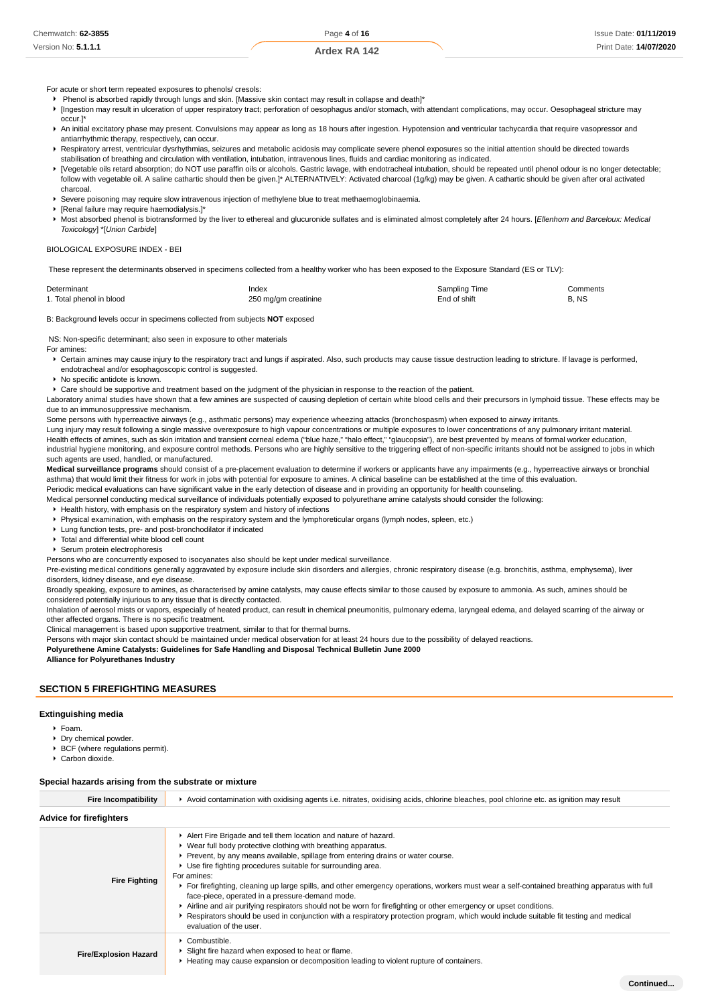For acute or short term repeated exposures to phenols/ cresols:

- Phenol is absorbed rapidly through lungs and skin. [Massive skin contact may result in collapse and death]\*
- ▶ [Ingestion may result in ulceration of upper respiratory tract; perforation of oesophagus and/or stomach, with attendant complications, may occur. Oesophageal stricture may occur.]\*
- ▶ An initial excitatory phase may present. Convulsions may appear as long as 18 hours after ingestion. Hypotension and ventricular tachycardia that require vasopressor and antiarrhythmic therapy, respectively, can occur.
- Respiratory arrest, ventricular dysrhythmias, seizures and metabolic acidosis may complicate severe phenol exposures so the initial attention should be directed towards stabilisation of breathing and circulation with ventilation, intubation, intravenous lines, fluids and cardiac monitoring as indicated.
- ▶ [Vegetable oils retard absorption; do NOT use paraffin oils or alcohols. Gastric lavage, with endotracheal intubation, should be repeated until phenol odour is no longer detectable; follow with vegetable oil. A saline cathartic should then be given.]\* ALTERNATIVELY: Activated charcoal (1g/kg) may be given. A cathartic should be given after oral activated charcoal.

Severe poisoning may require slow intravenous injection of methylene blue to treat methaemoglobinaemia.

- [Renal failure may require haemodialysis.]\*
- Most absorbed phenol is biotransformed by the liver to ethereal and glucuronide sulfates and is eliminated almost completely after 24 hours. [Ellenhorn and Barceloux: Medical Toxicology] \*[Union Carbide]

#### BIOLOGICAL EXPOSURE INDEX - BEI

These represent the determinants observed in specimens collected from a healthy worker who has been exposed to the Exposure Standard (ES or TLV):

| Determinant              | Index                | Sampling Time | Comments |
|--------------------------|----------------------|---------------|----------|
| 1. Total phenol in blood | 250 mg/gm creatinine | End of shift  | B. NS    |

B: Background levels occur in specimens collected from subjects **NOT** exposed

NS: Non-specific determinant; also seen in exposure to other materials

For amines:

- ▶ Certain amines may cause injury to the respiratory tract and lungs if aspirated. Also, such products may cause tissue destruction leading to stricture. If lavage is performed, endotracheal and/or esophagoscopic control is suggested.
- ▶ No specific antidote is known.

Care should be supportive and treatment based on the judgment of the physician in response to the reaction of the patient.

Laboratory animal studies have shown that a few amines are suspected of causing depletion of certain white blood cells and their precursors in lymphoid tissue. These effects may be due to an immunosuppressive mechanism.

Some persons with hyperreactive airways (e.g., asthmatic persons) may experience wheezing attacks (bronchospasm) when exposed to airway irritants.

Lung injury may result following a single massive overexposure to high vapour concentrations or multiple exposures to lower concentrations of any pulmonary irritant material. Health effects of amines, such as skin irritation and transient corneal edema ("blue haze," "halo effect," "glaucopsia"), are best prevented by means of formal worker education, industrial hygiene monitoring, and exposure control methods. Persons who are highly sensitive to the triggering effect of non-specific irritants should not be assigned to jobs in which such agents are used, handled, or manufactured.

**Medical surveillance programs** should consist of a pre-placement evaluation to determine if workers or applicants have any impairments (e.g., hyperreactive airways or bronchial asthma) that would limit their fitness for work in jobs with potential for exposure to amines. A clinical baseline can be established at the time of this evaluation.

Periodic medical evaluations can have significant value in the early detection of disease and in providing an opportunity for health counseling. Medical personnel conducting medical surveillance of individuals potentially exposed to polyurethane amine catalysts should consider the following:

Health history, with emphasis on the respiratory system and history of infections

Physical examination, with emphasis on the respiratory system and the lymphoreticular organs (lymph nodes, spleen, etc.)

Lung function tests, pre- and post-bronchodilator if indicated

 $\triangleright$  Total and differential white blood cell count

Serum protein electrophoresis

Persons who are concurrently exposed to isocyanates also should be kept under medical surveillance.

Pre-existing medical conditions generally aggravated by exposure include skin disorders and allergies, chronic respiratory disease (e.g. bronchitis, asthma, emphysema), liver disorders, kidney disease, and eye disease.

Broadly speaking, exposure to amines, as characterised by amine catalysts, may cause effects similar to those caused by exposure to ammonia. As such, amines should be considered potentially injurious to any tissue that is directly contacted.

Inhalation of aerosol mists or vapors, especially of heated product, can result in chemical pneumonitis, pulmonary edema, laryngeal edema, and delayed scarring of the airway or other affected organs. There is no specific treatment.

Clinical management is based upon supportive treatment, similar to that for thermal burns.

Persons with major skin contact should be maintained under medical observation for at least 24 hours due to the possibility of delayed reactions.

**Polyurethene Amine Catalysts: Guidelines for Safe Handling and Disposal Technical Bulletin June 2000**

**Alliance for Polyurethanes Industry**

#### **SECTION 5 FIREFIGHTING MEASURES**

#### **Extinguishing media**

- Foam.
- ▶ Dry chemical powder
- ▶ BCF (where regulations permit).
- Carbon dioxide.

#### **Special hazards arising from the substrate or mixture**

| <b>Fire Incompatibility</b>    | Avoid contamination with oxidising agents i.e. nitrates, oxidising acids, chlorine bleaches, pool chlorine etc. as ignition may result                                                                                                                                                                                                                                                                                                                                                                                                                                                                                                                                                                                                                                                             |  |  |  |
|--------------------------------|----------------------------------------------------------------------------------------------------------------------------------------------------------------------------------------------------------------------------------------------------------------------------------------------------------------------------------------------------------------------------------------------------------------------------------------------------------------------------------------------------------------------------------------------------------------------------------------------------------------------------------------------------------------------------------------------------------------------------------------------------------------------------------------------------|--|--|--|
| <b>Advice for firefighters</b> |                                                                                                                                                                                                                                                                                                                                                                                                                                                                                                                                                                                                                                                                                                                                                                                                    |  |  |  |
| <b>Fire Fighting</b>           | Alert Fire Brigade and tell them location and nature of hazard.<br>• Wear full body protective clothing with breathing apparatus.<br>Prevent, by any means available, spillage from entering drains or water course.<br>▶ Use fire fighting procedures suitable for surrounding area.<br>For amines:<br>For firefighting, cleaning up large spills, and other emergency operations, workers must wear a self-contained breathing apparatus with full<br>face-piece, operated in a pressure-demand mode.<br>Airline and air purifying respirators should not be worn for firefighting or other emergency or upset conditions.<br>▶ Respirators should be used in conjunction with a respiratory protection program, which would include suitable fit testing and medical<br>evaluation of the user. |  |  |  |
| <b>Fire/Explosion Hazard</b>   | Combustible.<br>▶ Slight fire hazard when exposed to heat or flame.<br>Heating may cause expansion or decomposition leading to violent rupture of containers.                                                                                                                                                                                                                                                                                                                                                                                                                                                                                                                                                                                                                                      |  |  |  |
|                                | Continued                                                                                                                                                                                                                                                                                                                                                                                                                                                                                                                                                                                                                                                                                                                                                                                          |  |  |  |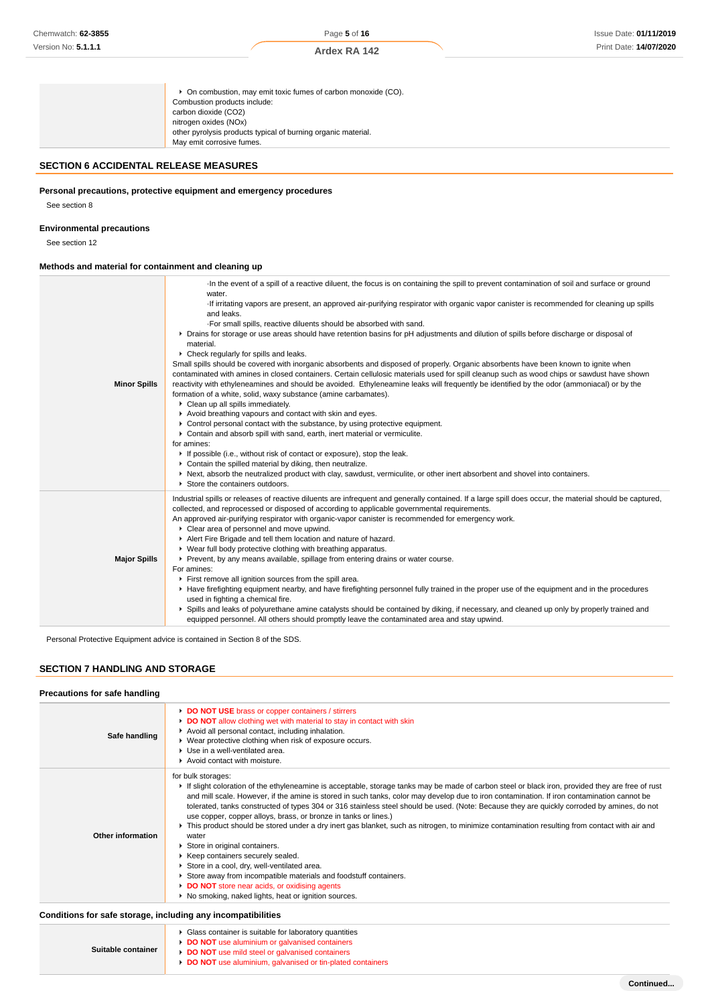**Ardex RA 142**

# **SECTION 6 ACCIDENTAL RELEASE MEASURES**

## **Personal precautions, protective equipment and emergency procedures**

See section 8

## **Environmental precautions**

See section 12

# **Methods and material for containment and cleaning up**

| <b>Minor Spills</b> | In the event of a spill of a reactive diluent, the focus is on containing the spill to prevent contamination of soil and surface or ground<br>water.<br>If irritating vapors are present, an approved air-purifying respirator with organic vapor canister is recommended for cleaning up spills<br>and leaks.<br>. For small spills, reactive diluents should be absorbed with sand.<br>• Drains for storage or use areas should have retention basins for pH adjustments and dilution of spills before discharge or disposal of<br>material.<br>▶ Check regularly for spills and leaks.<br>Small spills should be covered with inorganic absorbents and disposed of properly. Organic absorbents have been known to ignite when<br>contaminated with amines in closed containers. Certain cellulosic materials used for spill cleanup such as wood chips or sawdust have shown<br>reactivity with ethyleneamines and should be avoided. Ethyleneamine leaks will frequently be identified by the odor (ammoniacal) or by the<br>formation of a white, solid, waxy substance (amine carbamates).<br>Clean up all spills immediately.<br>Avoid breathing vapours and contact with skin and eyes.<br>• Control personal contact with the substance, by using protective equipment.<br>• Contain and absorb spill with sand, earth, inert material or vermiculite.<br>for amines:<br>If possible (i.e., without risk of contact or exposure), stop the leak.<br>• Contain the spilled material by diking, then neutralize.<br>▶ Next, absorb the neutralized product with clay, sawdust, vermiculite, or other inert absorbent and shovel into containers.<br>Store the containers outdoors. |
|---------------------|--------------------------------------------------------------------------------------------------------------------------------------------------------------------------------------------------------------------------------------------------------------------------------------------------------------------------------------------------------------------------------------------------------------------------------------------------------------------------------------------------------------------------------------------------------------------------------------------------------------------------------------------------------------------------------------------------------------------------------------------------------------------------------------------------------------------------------------------------------------------------------------------------------------------------------------------------------------------------------------------------------------------------------------------------------------------------------------------------------------------------------------------------------------------------------------------------------------------------------------------------------------------------------------------------------------------------------------------------------------------------------------------------------------------------------------------------------------------------------------------------------------------------------------------------------------------------------------------------------------------------------------------------------------------------------------------|
| <b>Major Spills</b> | Industrial spills or releases of reactive diluents are infrequent and generally contained. If a large spill does occur, the material should be captured,<br>collected, and reprocessed or disposed of according to applicable governmental requirements.<br>An approved air-purifying respirator with organic-vapor canister is recommended for emergency work.<br>Clear area of personnel and move upwind.<br>Alert Fire Brigade and tell them location and nature of hazard.<br>• Wear full body protective clothing with breathing apparatus.<br>Prevent, by any means available, spillage from entering drains or water course.<br>For amines:<br>First remove all ignition sources from the spill area.<br>▶ Have firefighting equipment nearby, and have firefighting personnel fully trained in the proper use of the equipment and in the procedures<br>used in fighting a chemical fire.<br>▶ Spills and leaks of polyurethane amine catalysts should be contained by diking, if necessary, and cleaned up only by properly trained and<br>equipped personnel. All others should promptly leave the contaminated area and stay upwind.                                                                                                                                                                                                                                                                                                                                                                                                                                                                                                                                            |

Personal Protective Equipment advice is contained in Section 8 of the SDS.

# **SECTION 7 HANDLING AND STORAGE**

#### **Precautions for safe handling**

| Safe handling     | DO NOT USE brass or copper containers / stirrers<br>DO NOT allow clothing wet with material to stay in contact with skin<br>Avoid all personal contact, including inhalation.<br>• Wear protective clothing when risk of exposure occurs.<br>▶ Use in a well-ventilated area.<br>Avoid contact with moisture.                                                                                                                                                                                                                                                                                                                                                                                                                                                                                                                                                                                                                                                                                         |
|-------------------|-------------------------------------------------------------------------------------------------------------------------------------------------------------------------------------------------------------------------------------------------------------------------------------------------------------------------------------------------------------------------------------------------------------------------------------------------------------------------------------------------------------------------------------------------------------------------------------------------------------------------------------------------------------------------------------------------------------------------------------------------------------------------------------------------------------------------------------------------------------------------------------------------------------------------------------------------------------------------------------------------------|
| Other information | for bulk storages:<br>If slight coloration of the ethyleneamine is acceptable, storage tanks may be made of carbon steel or black iron, provided they are free of rust<br>and mill scale. However, if the amine is stored in such tanks, color may develop due to iron contamination. If iron contamination cannot be<br>tolerated, tanks constructed of types 304 or 316 stainless steel should be used. (Note: Because they are quickly corroded by amines, do not<br>use copper, copper alloys, brass, or bronze in tanks or lines.)<br>▶ This product should be stored under a dry inert gas blanket, such as nitrogen, to minimize contamination resulting from contact with air and<br>water<br>Store in original containers.<br>▶ Keep containers securely sealed.<br>Store in a cool, dry, well-ventilated area.<br>Store away from incompatible materials and foodstuff containers.<br>DO NOT store near acids, or oxidising agents<br>▶ No smoking, naked lights, heat or ignition sources. |

## **Conditions for safe storage, including any incompatibilities**

| Suitable container | • Glass container is suitable for laboratory quantities          |
|--------------------|------------------------------------------------------------------|
|                    | <b>DO NOT</b> use aluminium or galvanised containers             |
|                    | DO NOT use mild steel or galvanised containers                   |
|                    | <b>DO NOT</b> use aluminium, galvanised or tin-plated containers |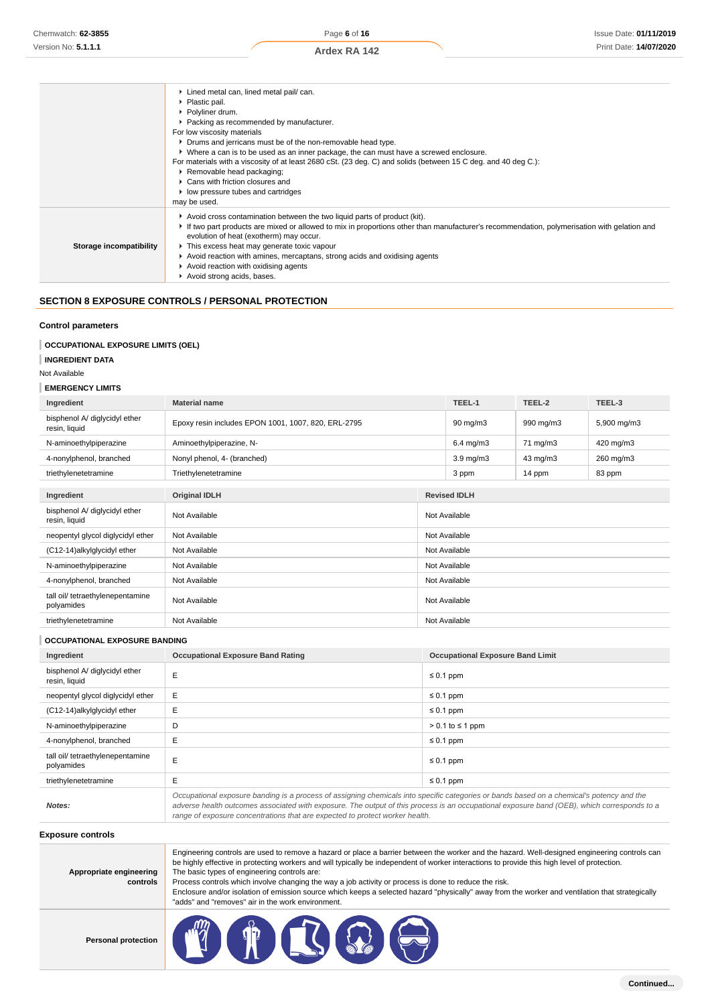|                         | Lined metal can, lined metal pail/ can.                                                                                                    |
|-------------------------|--------------------------------------------------------------------------------------------------------------------------------------------|
|                         | ▶ Plastic pail.                                                                                                                            |
|                         | ▶ Polyliner drum.                                                                                                                          |
|                         | • Packing as recommended by manufacturer.                                                                                                  |
|                         | For low viscosity materials                                                                                                                |
|                         | • Drums and jerricans must be of the non-removable head type.                                                                              |
|                         | ▶ Where a can is to be used as an inner package, the can must have a screwed enclosure.                                                    |
|                         | For materials with a viscosity of at least 2680 cSt. (23 deg. C) and solids (between 15 C deg. and 40 deg C.):                             |
|                         | Removable head packaging;                                                                                                                  |
|                         | $\blacktriangleright$ Cans with friction closures and                                                                                      |
|                         | ▶ low pressure tubes and cartridges                                                                                                        |
|                         | may be used.                                                                                                                               |
|                         | $\blacktriangleright$ Avoid cross contamination between the two liquid parts of product (kit).                                             |
|                         | If two part products are mixed or allowed to mix in proportions other than manufacturer's recommendation, polymerisation with gelation and |
|                         | evolution of heat (exotherm) may occur.                                                                                                    |
| Storage incompatibility | This excess heat may generate toxic vapour                                                                                                 |
|                         | Avoid reaction with amines, mercaptans, strong acids and oxidising agents                                                                  |
|                         | Avoid reaction with oxidising agents                                                                                                       |
|                         | Avoid strong acids, bases.                                                                                                                 |

# **SECTION 8 EXPOSURE CONTROLS / PERSONAL PROTECTION**

#### **Control parameters**

## **OCCUPATIONAL EXPOSURE LIMITS (OEL)**

**INGREDIENT DATA**

Not Available

#### **EMERGENCY LIMITS**

| Ingredient                                     | <b>Material name</b>                                |               | TEEL-1              | TEEL-2    | TEEL-3      |
|------------------------------------------------|-----------------------------------------------------|---------------|---------------------|-----------|-------------|
| bisphenol A/ diglycidyl ether<br>resin, liquid | Epoxy resin includes EPON 1001, 1007, 820, ERL-2795 |               | $90 \text{ mg/m}$ 3 | 990 mg/m3 | 5,900 mg/m3 |
| N-aminoethylpiperazine                         | Aminoethylpiperazine, N-                            |               | $6.4$ mg/m $3$      | 71 mg/m3  | 420 mg/m3   |
| 4-nonylphenol, branched                        | Nonyl phenol, 4- (branched)                         |               | $3.9 \text{ mg/m}$  | 43 mg/m3  | 260 mg/m3   |
| triethylenetetramine                           | Triethylenetetramine                                |               | 3 ppm               | 14 ppm    | 83 ppm      |
|                                                |                                                     |               |                     |           |             |
| Ingredient                                     | <b>Original IDLH</b>                                |               | <b>Revised IDLH</b> |           |             |
| bisphenol A/ diglycidyl ether<br>resin, liquid | Not Available                                       |               | Not Available       |           |             |
| neopentyl glycol diglycidyl ether              | Not Available                                       |               | Not Available       |           |             |
| (C12-14)alkylglycidyl ether                    | Not Available                                       | Not Available |                     |           |             |
| N-aminoethylpiperazine                         | Not Available                                       | Not Available |                     |           |             |
| 4-nonylphenol, branched                        | Not Available<br>Not Available                      |               |                     |           |             |
| tall oil/ tetraethylenepentamine<br>polyamides | Not Available                                       | Not Available |                     |           |             |
| triethylenetetramine                           | Not Available                                       | Not Available |                     |           |             |

#### **OCCUPATIONAL EXPOSURE BANDING**

| Ingredient                                     | <b>Occupational Exposure Band Rating</b>                                                                                                                                                                                                                                                 | <b>Occupational Exposure Band Limit</b> |  |
|------------------------------------------------|------------------------------------------------------------------------------------------------------------------------------------------------------------------------------------------------------------------------------------------------------------------------------------------|-----------------------------------------|--|
| bisphenol A/ diglycidyl ether<br>resin, liquid | E                                                                                                                                                                                                                                                                                        | $\leq 0.1$ ppm                          |  |
| neopentyl glycol diglycidyl ether              | E                                                                                                                                                                                                                                                                                        | $\leq 0.1$ ppm                          |  |
| (C12-14)alkylglycidyl ether                    | E                                                                                                                                                                                                                                                                                        | $\leq 0.1$ ppm                          |  |
| N-aminoethylpiperazine                         | D                                                                                                                                                                                                                                                                                        | $> 0.1$ to $\leq 1$ ppm                 |  |
| 4-nonylphenol, branched                        | E                                                                                                                                                                                                                                                                                        | $\leq 0.1$ ppm                          |  |
| tall oil/ tetraethylenepentamine<br>polyamides | E                                                                                                                                                                                                                                                                                        | $\leq 0.1$ ppm                          |  |
| triethylenetetramine                           | E                                                                                                                                                                                                                                                                                        | $\leq 0.1$ ppm                          |  |
| Notes:                                         | Occupational exposure banding is a process of assigning chemicals into specific categories or bands based on a chemical's potency and the<br>adverse health outcomes associated with exposure. The output of this process is an occupational exposure band (OEB), which corresponds to a |                                         |  |

range of exposure concentrations that are expected to protect worker health.

**Exposure controls**

| Appropriate engineering<br>controls | Engineering controls are used to remove a hazard or place a barrier between the worker and the hazard. Well-designed engineering controls can<br>be highly effective in protecting workers and will typically be independent of worker interactions to provide this high level of protection.<br>The basic types of engineering controls are:<br>Process controls which involve changing the way a job activity or process is done to reduce the risk.<br>Enclosure and/or isolation of emission source which keeps a selected hazard "physically" away from the worker and ventilation that strategically<br>"adds" and "removes" air in the work environment. |
|-------------------------------------|-----------------------------------------------------------------------------------------------------------------------------------------------------------------------------------------------------------------------------------------------------------------------------------------------------------------------------------------------------------------------------------------------------------------------------------------------------------------------------------------------------------------------------------------------------------------------------------------------------------------------------------------------------------------|
|                                     |                                                                                                                                                                                                                                                                                                                                                                                                                                                                                                                                                                                                                                                                 |

**Personal protection**

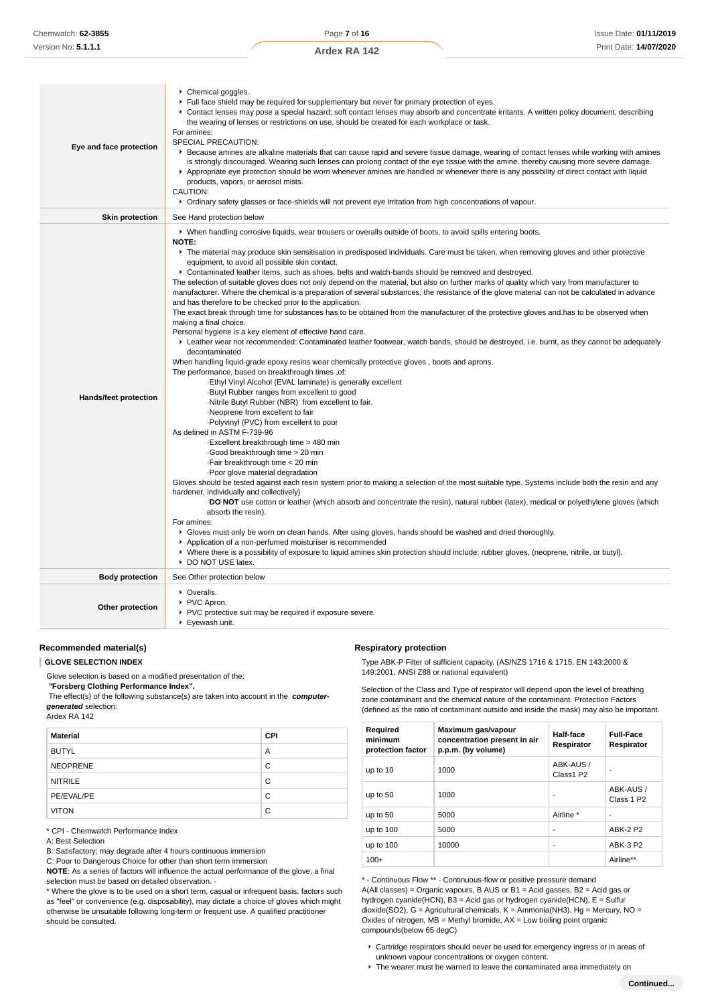| Chemical goggles.<br>Full face shield may be required for supplementary but never for primary protection of eyes.<br>• Contact lenses may pose a special hazard; soft contact lenses may absorb and concentrate irritants. A written policy document, describing<br>the wearing of lenses or restrictions on use, should be created for each workplace or task.<br>For amines:<br>SPECIAL PRECAUTION:<br>Eye and face protection<br>Exercise amines are alkaline materials that can cause rapid and severe tissue damage, wearing of contact lenses while working with amines<br>is strongly discouraged. Wearing such lenses can prolong contact of the eye tissue with the amine, thereby causing more severe damage.<br>Appropriate eye protection should be worn whenever amines are handled or whenever there is any possibility of direct contact with liquid<br>products, vapors, or aerosol mists.<br>CAUTION:<br>▶ Ordinary safety glasses or face-shields will not prevent eye irritation from high concentrations of vapour. |                                                                                                                                                                                                                                                                                                                                                                                                                                                                                                                                                                                                                                                                                                                                                                                                                                                                                                                                                                                                                                                                                                                                                                                                                                                                                                                                                                                                                                                                                                                                                                                                                                                                                                                                                                                                                                                                                                                                                                                                                                                                                                                                                                                                                                                                                                                                                                                                                                                                                                                           |  |  |
|-----------------------------------------------------------------------------------------------------------------------------------------------------------------------------------------------------------------------------------------------------------------------------------------------------------------------------------------------------------------------------------------------------------------------------------------------------------------------------------------------------------------------------------------------------------------------------------------------------------------------------------------------------------------------------------------------------------------------------------------------------------------------------------------------------------------------------------------------------------------------------------------------------------------------------------------------------------------------------------------------------------------------------------------|---------------------------------------------------------------------------------------------------------------------------------------------------------------------------------------------------------------------------------------------------------------------------------------------------------------------------------------------------------------------------------------------------------------------------------------------------------------------------------------------------------------------------------------------------------------------------------------------------------------------------------------------------------------------------------------------------------------------------------------------------------------------------------------------------------------------------------------------------------------------------------------------------------------------------------------------------------------------------------------------------------------------------------------------------------------------------------------------------------------------------------------------------------------------------------------------------------------------------------------------------------------------------------------------------------------------------------------------------------------------------------------------------------------------------------------------------------------------------------------------------------------------------------------------------------------------------------------------------------------------------------------------------------------------------------------------------------------------------------------------------------------------------------------------------------------------------------------------------------------------------------------------------------------------------------------------------------------------------------------------------------------------------------------------------------------------------------------------------------------------------------------------------------------------------------------------------------------------------------------------------------------------------------------------------------------------------------------------------------------------------------------------------------------------------------------------------------------------------------------------------------------------------|--|--|
| <b>Skin protection</b>                                                                                                                                                                                                                                                                                                                                                                                                                                                                                                                                                                                                                                                                                                                                                                                                                                                                                                                                                                                                                  | See Hand protection below                                                                                                                                                                                                                                                                                                                                                                                                                                                                                                                                                                                                                                                                                                                                                                                                                                                                                                                                                                                                                                                                                                                                                                                                                                                                                                                                                                                                                                                                                                                                                                                                                                                                                                                                                                                                                                                                                                                                                                                                                                                                                                                                                                                                                                                                                                                                                                                                                                                                                                 |  |  |
| Hands/feet protection                                                                                                                                                                                                                                                                                                                                                                                                                                                                                                                                                                                                                                                                                                                                                                                                                                                                                                                                                                                                                   | ▶ When handling corrosive liquids, wear trousers or overalls outside of boots, to avoid spills entering boots.<br><b>NOTE:</b><br>The material may produce skin sensitisation in predisposed individuals. Care must be taken, when removing gloves and other protective<br>equipment, to avoid all possible skin contact.<br>► Contaminated leather items, such as shoes, belts and watch-bands should be removed and destroyed.<br>The selection of suitable gloves does not only depend on the material, but also on further marks of quality which vary from manufacturer to<br>manufacturer. Where the chemical is a preparation of several substances, the resistance of the glove material can not be calculated in advance<br>and has therefore to be checked prior to the application.<br>The exact break through time for substances has to be obtained from the manufacturer of the protective gloves and has to be observed when<br>making a final choice.<br>Personal hygiene is a key element of effective hand care.<br>Example the stream terror recommended: Contaminated leather footwear, watch bands, should be destroyed, i.e. burnt, as they cannot be adequately<br>decontaminated<br>When handling liquid-grade epoxy resins wear chemically protective gloves, boots and aprons.<br>The performance, based on breakthrough times, of:<br>-Ethyl Vinyl Alcohol (EVAL laminate) is generally excellent<br>Butyl Rubber ranges from excellent to good<br>-Nitrile Butyl Rubber (NBR) from excellent to fair.<br>Neoprene from excellent to fair<br>-Polyvinyl (PVC) from excellent to poor<br>As defined in ASTM F-739-96<br>Excellent breakthrough time > 480 min<br>Good breakthrough time > 20 min<br>Fair breakthrough time < 20 min<br>Poor glove material degradation<br>Gloves should be tested against each resin system prior to making a selection of the most suitable type. Systems include both the resin and any<br>hardener, individually and collectively)<br>DO NOT use cotton or leather (which absorb and concentrate the resin), natural rubber (latex), medical or polyethylene gloves (which<br>absorb the resin).<br>For amines:<br>• Gloves must only be worn on clean hands. After using gloves, hands should be washed and dried thoroughly.<br>Application of a non-perfumed moisturiser is recommended<br>• Where there is a possibility of exposure to liquid amines skin protection should include: rubber gloves, (neoprene, nitrile, or butyl).<br>DO NOT USE latex. |  |  |
| <b>Body protection</b>                                                                                                                                                                                                                                                                                                                                                                                                                                                                                                                                                                                                                                                                                                                                                                                                                                                                                                                                                                                                                  | See Other protection below                                                                                                                                                                                                                                                                                                                                                                                                                                                                                                                                                                                                                                                                                                                                                                                                                                                                                                                                                                                                                                                                                                                                                                                                                                                                                                                                                                                                                                                                                                                                                                                                                                                                                                                                                                                                                                                                                                                                                                                                                                                                                                                                                                                                                                                                                                                                                                                                                                                                                                |  |  |
| Other protection                                                                                                                                                                                                                                                                                                                                                                                                                                                                                                                                                                                                                                                                                                                                                                                                                                                                                                                                                                                                                        | • Overalls.<br>PVC Apron.<br>PVC protective suit may be required if exposure severe.<br>▶ Eyewash unit.                                                                                                                                                                                                                                                                                                                                                                                                                                                                                                                                                                                                                                                                                                                                                                                                                                                                                                                                                                                                                                                                                                                                                                                                                                                                                                                                                                                                                                                                                                                                                                                                                                                                                                                                                                                                                                                                                                                                                                                                                                                                                                                                                                                                                                                                                                                                                                                                                   |  |  |

## **Recommended material(s)**

**GLOVE SELECTION INDEX**

Glove selection is based on a modified presentation of the:

 **"Forsberg Clothing Performance Index".**

 The effect(s) of the following substance(s) are taken into account in the **computergenerated** selection: Ardex RA 142

| AIUGA INA 144 |  |  |
|---------------|--|--|
|               |  |  |
|               |  |  |

| <b>Material</b> | <b>CPI</b> |
|-----------------|------------|
| <b>BUTYL</b>    | A          |
| <b>NEOPRENE</b> | C          |
| <b>NITRILE</b>  | C          |
| PE/EVAL/PE      | C          |
| <b>VITON</b>    | C          |

\* CPI - Chemwatch Performance Index

A: Best Selection

B: Satisfactory; may degrade after 4 hours continuous immersion

C: Poor to Dangerous Choice for other than short term immersion

**NOTE**: As a series of factors will influence the actual performance of the glove, a final selection must be based on detailed observation. -

\* Where the glove is to be used on a short term, casual or infrequent basis, factors such as "feel" or convenience (e.g. disposability), may dictate a choice of gloves which might otherwise be unsuitable following long-term or frequent use. A qualified practitioner should be consulted.

**Respiratory protection**

Type ABK-P Filter of sufficient capacity. (AS/NZS 1716 & 1715, EN 143:2000 & 149:2001, ANSI Z88 or national equivalent)

Selection of the Class and Type of respirator will depend upon the level of breathing zone contaminant and the chemical nature of the contaminant. Protection Factors (defined as the ratio of contaminant outside and inside the mask) may also be important.

| Required<br>minimum<br>protection factor | Maximum gas/vapour<br>concentration present in air<br>p.p.m. (by volume) | Half-face<br>Respirator | <b>Full-Face</b><br>Respirator      |
|------------------------------------------|--------------------------------------------------------------------------|-------------------------|-------------------------------------|
| up to 10                                 | 1000                                                                     | ABK-AUS /<br>Class1 P2  |                                     |
| up to 50                                 | 1000                                                                     |                         | ABK-AUS /<br>Class 1 P <sub>2</sub> |
| up to 50                                 | 5000                                                                     | Airline *               |                                     |
| up to 100                                | 5000                                                                     | ۰                       | <b>ABK-2 P2</b>                     |
| up to $100$                              | 10000                                                                    | ٠                       | <b>ABK-3 P2</b>                     |
| $100+$                                   |                                                                          |                         | Airline**                           |

\* - Continuous Flow \*\* - Continuous-flow or positive pressure demand A(All classes) = Organic vapours, B AUS or B1 = Acid gasses, B2 = Acid gas or hydrogen cyanide(HCN), B3 = Acid gas or hydrogen cyanide(HCN), E = Sulfur dioxide(SO2), G = Agricultural chemicals, K = Ammonia(NH3), Hg = Mercury, NO = Oxides of nitrogen,  $MB = M$ ethyl bromide,  $AX = Low$  boiling point organic compounds(below 65 degC)

Cartridge respirators should never be used for emergency ingress or in areas of unknown vapour concentrations or oxygen content.

 $\blacktriangleright$  The wearer must be warned to leave the contaminated area immediately on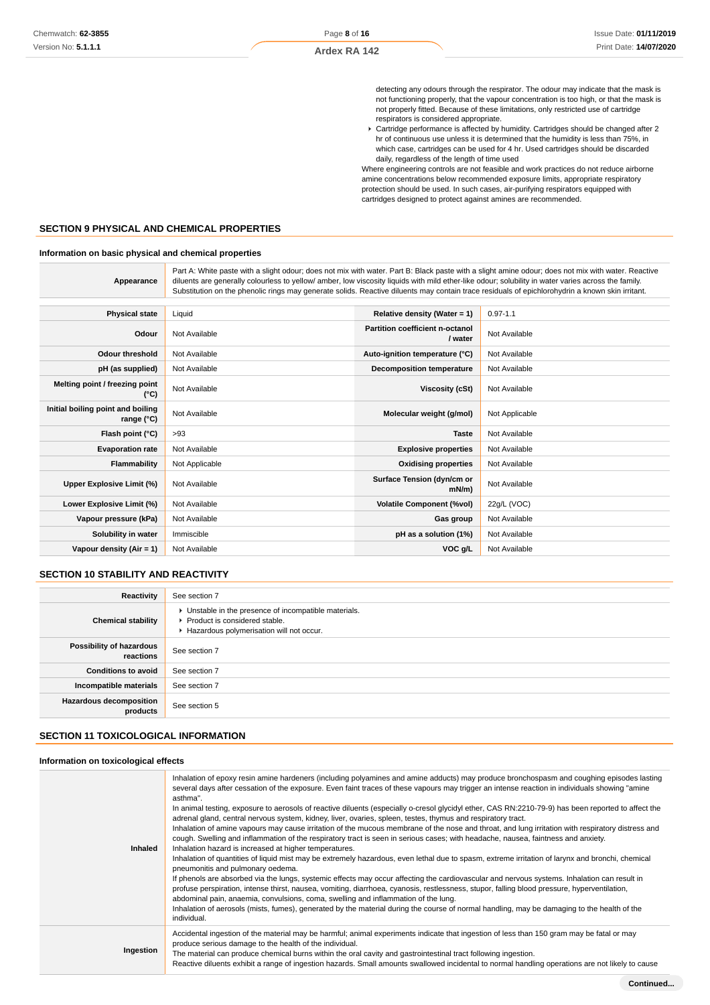**Ardex RA 142**

detecting any odours through the respirator. The odour may indicate that the mask is not functioning properly, that the vapour concentration is too high, or that the mask is not properly fitted. Because of these limitations, only restricted use of cartridge respirators is considered appropriate.

Cartridge performance is affected by humidity. Cartridges should be changed after 2 hr of continuous use unless it is determined that the humidity is less than 75%, in which case, cartridges can be used for 4 hr. Used cartridges should be discarded daily, regardless of the length of time used

Where engineering controls are not feasible and work practices do not reduce airborne amine concentrations below recommended exposure limits, appropriate respiratory protection should be used. In such cases, air-purifying respirators equipped with cartridges designed to protect against amines are recommended.

#### **SECTION 9 PHYSICAL AND CHEMICAL PROPERTIES**

#### **Information on basic physical and chemical properties**

| Appearance                                      | Part A: White paste with a slight odour; does not mix with water. Part B: Black paste with a slight amine odour; does not mix with water. Reactive<br>diluents are generally colourless to yellow/ amber, low viscosity liquids with mild ether-like odour; solubility in water varies across the family.<br>Substitution on the phenolic rings may generate solids. Reactive diluents may contain trace residuals of epichlorohydrin a known skin irritant. |                                            |                |
|-------------------------------------------------|--------------------------------------------------------------------------------------------------------------------------------------------------------------------------------------------------------------------------------------------------------------------------------------------------------------------------------------------------------------------------------------------------------------------------------------------------------------|--------------------------------------------|----------------|
| <b>Physical state</b>                           | Liquid                                                                                                                                                                                                                                                                                                                                                                                                                                                       | Relative density (Water = $1$ )            | $0.97 - 1.1$   |
| Odour                                           | Not Available                                                                                                                                                                                                                                                                                                                                                                                                                                                | Partition coefficient n-octanol<br>/ water | Not Available  |
| <b>Odour threshold</b>                          | Not Available                                                                                                                                                                                                                                                                                                                                                                                                                                                | Auto-ignition temperature (°C)             | Not Available  |
| pH (as supplied)                                | Not Available                                                                                                                                                                                                                                                                                                                                                                                                                                                | <b>Decomposition temperature</b>           | Not Available  |
| Melting point / freezing point<br>(°C)          | Not Available                                                                                                                                                                                                                                                                                                                                                                                                                                                | Viscosity (cSt)                            | Not Available  |
| Initial boiling point and boiling<br>range (°C) | Not Available                                                                                                                                                                                                                                                                                                                                                                                                                                                | Molecular weight (g/mol)                   | Not Applicable |
| Flash point (°C)                                | >93                                                                                                                                                                                                                                                                                                                                                                                                                                                          | <b>Taste</b>                               | Not Available  |
| <b>Evaporation rate</b>                         | Not Available                                                                                                                                                                                                                                                                                                                                                                                                                                                | <b>Explosive properties</b>                | Not Available  |
| Flammability                                    | Not Applicable                                                                                                                                                                                                                                                                                                                                                                                                                                               | <b>Oxidising properties</b>                | Not Available  |
| Upper Explosive Limit (%)                       | Not Available                                                                                                                                                                                                                                                                                                                                                                                                                                                | Surface Tension (dyn/cm or<br>$mN/m$ )     | Not Available  |
| Lower Explosive Limit (%)                       | Not Available                                                                                                                                                                                                                                                                                                                                                                                                                                                | <b>Volatile Component (%vol)</b>           | 22g/L (VOC)    |
| Vapour pressure (kPa)                           | Not Available                                                                                                                                                                                                                                                                                                                                                                                                                                                | Gas group                                  | Not Available  |
| Solubility in water                             | Immiscible                                                                                                                                                                                                                                                                                                                                                                                                                                                   | pH as a solution (1%)                      | Not Available  |
| Vapour density $(Air = 1)$                      | Not Available                                                                                                                                                                                                                                                                                                                                                                                                                                                | VOC g/L                                    | Not Available  |

# **SECTION 10 STABILITY AND REACTIVITY**

| Reactivity                                 | See section 7                                                                                                                        |
|--------------------------------------------|--------------------------------------------------------------------------------------------------------------------------------------|
| <b>Chemical stability</b>                  | • Unstable in the presence of incompatible materials.<br>▶ Product is considered stable.<br>Hazardous polymerisation will not occur. |
| Possibility of hazardous<br>reactions      | See section 7                                                                                                                        |
| <b>Conditions to avoid</b>                 | See section 7                                                                                                                        |
| Incompatible materials                     | See section 7                                                                                                                        |
| <b>Hazardous decomposition</b><br>products | See section 5                                                                                                                        |

#### **SECTION 11 TOXICOLOGICAL INFORMATION**

#### **Information on toxicological effects**

| Inhaled   | Inhalation of epoxy resin amine hardeners (including polyamines and amine adducts) may produce bronchospasm and coughing episodes lasting<br>several days after cessation of the exposure. Even faint traces of these vapours may trigger an intense reaction in individuals showing "amine<br>asthma".<br>In animal testing, exposure to aerosols of reactive diluents (especially o-cresol glycidyl ether, CAS RN:2210-79-9) has been reported to affect the<br>adrenal gland, central nervous system, kidney, liver, ovaries, spleen, testes, thymus and respiratory tract.<br>Inhalation of amine vapours may cause irritation of the mucous membrane of the nose and throat, and lung irritation with respiratory distress and<br>cough. Swelling and inflammation of the respiratory tract is seen in serious cases; with headache, nausea, faintness and anxiety.<br>Inhalation hazard is increased at higher temperatures.<br>Inhalation of quantities of liquid mist may be extremely hazardous, even lethal due to spasm, extreme irritation of larynx and bronchi, chemical<br>pneumonitis and pulmonary oedema.<br>If phenols are absorbed via the lungs, systemic effects may occur affecting the cardiovascular and nervous systems. Inhalation can result in<br>profuse perspiration, intense thirst, nausea, vomiting, diarrhoea, cyanosis, restlessness, stupor, falling blood pressure, hyperventilation,<br>abdominal pain, anaemia, convulsions, coma, swelling and inflammation of the lung.<br>Inhalation of aerosols (mists, fumes), generated by the material during the course of normal handling, may be damaging to the health of the<br>individual. |
|-----------|---------------------------------------------------------------------------------------------------------------------------------------------------------------------------------------------------------------------------------------------------------------------------------------------------------------------------------------------------------------------------------------------------------------------------------------------------------------------------------------------------------------------------------------------------------------------------------------------------------------------------------------------------------------------------------------------------------------------------------------------------------------------------------------------------------------------------------------------------------------------------------------------------------------------------------------------------------------------------------------------------------------------------------------------------------------------------------------------------------------------------------------------------------------------------------------------------------------------------------------------------------------------------------------------------------------------------------------------------------------------------------------------------------------------------------------------------------------------------------------------------------------------------------------------------------------------------------------------------------------------------------------------------------------------------------|
| Ingestion | Accidental ingestion of the material may be harmful; animal experiments indicate that ingestion of less than 150 gram may be fatal or may<br>produce serious damage to the health of the individual.<br>The material can produce chemical burns within the oral cavity and gastrointestinal tract following ingestion.<br>Reactive diluents exhibit a range of ingestion hazards. Small amounts swallowed incidental to normal handling operations are not likely to cause                                                                                                                                                                                                                                                                                                                                                                                                                                                                                                                                                                                                                                                                                                                                                                                                                                                                                                                                                                                                                                                                                                                                                                                                      |
|           |                                                                                                                                                                                                                                                                                                                                                                                                                                                                                                                                                                                                                                                                                                                                                                                                                                                                                                                                                                                                                                                                                                                                                                                                                                                                                                                                                                                                                                                                                                                                                                                                                                                                                 |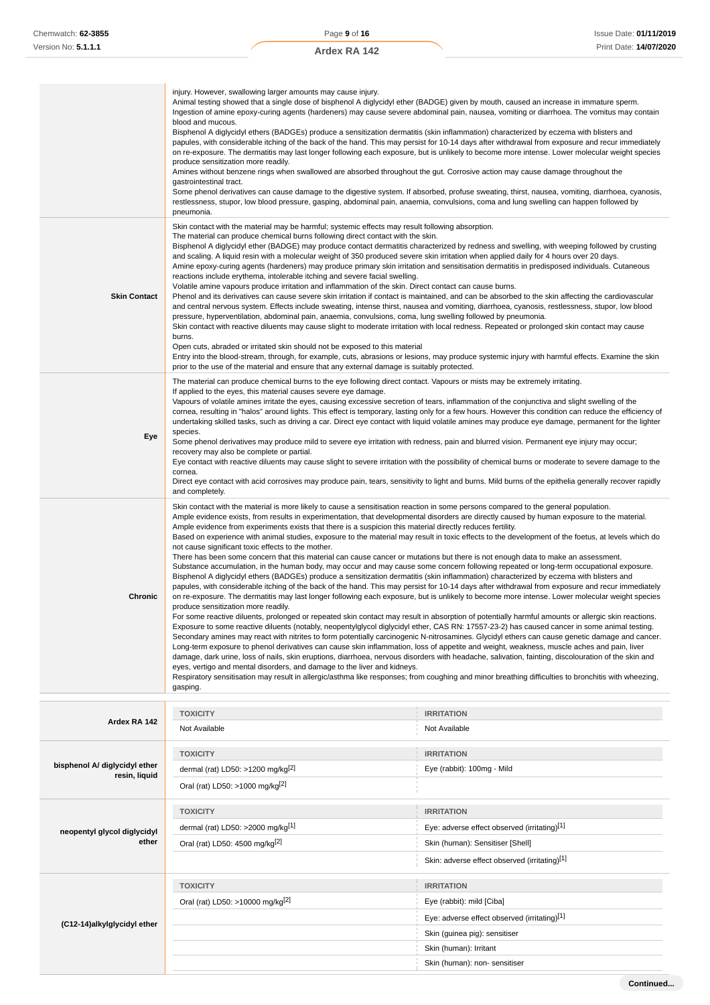|                     | injury. However, swallowing larger amounts may cause injury.<br>Animal testing showed that a single dose of bisphenol A diglycidyl ether (BADGE) given by mouth, caused an increase in immature sperm.<br>Ingestion of amine epoxy-curing agents (hardeners) may cause severe abdominal pain, nausea, vomiting or diarrhoea. The vomitus may contain<br>blood and mucous.<br>Bisphenol A diglycidyl ethers (BADGEs) produce a sensitization dermatitis (skin inflammation) characterized by eczema with blisters and<br>papules, with considerable itching of the back of the hand. This may persist for 10-14 days after withdrawal from exposure and recur immediately<br>on re-exposure. The dermatitis may last longer following each exposure, but is unlikely to become more intense. Lower molecular weight species<br>produce sensitization more readily.<br>Amines without benzene rings when swallowed are absorbed throughout the gut. Corrosive action may cause damage throughout the<br>gastrointestinal tract.<br>Some phenol derivatives can cause damage to the digestive system. If absorbed, profuse sweating, thirst, nausea, vomiting, diarrhoea, cyanosis,<br>restlessness, stupor, low blood pressure, gasping, abdominal pain, anaemia, convulsions, coma and lung swelling can happen followed by<br>pneumonia.                                                                                                                                                                                                                                                                                                                                                                                                                                                                                                                                                                                                                                                                                                                                                                                                                                                                                                                                                                                                                                                      |
|---------------------|-----------------------------------------------------------------------------------------------------------------------------------------------------------------------------------------------------------------------------------------------------------------------------------------------------------------------------------------------------------------------------------------------------------------------------------------------------------------------------------------------------------------------------------------------------------------------------------------------------------------------------------------------------------------------------------------------------------------------------------------------------------------------------------------------------------------------------------------------------------------------------------------------------------------------------------------------------------------------------------------------------------------------------------------------------------------------------------------------------------------------------------------------------------------------------------------------------------------------------------------------------------------------------------------------------------------------------------------------------------------------------------------------------------------------------------------------------------------------------------------------------------------------------------------------------------------------------------------------------------------------------------------------------------------------------------------------------------------------------------------------------------------------------------------------------------------------------------------------------------------------------------------------------------------------------------------------------------------------------------------------------------------------------------------------------------------------------------------------------------------------------------------------------------------------------------------------------------------------------------------------------------------------------------------------------------------------------------------------------------------------------------------------|
| <b>Skin Contact</b> | Skin contact with the material may be harmful; systemic effects may result following absorption.<br>The material can produce chemical burns following direct contact with the skin.<br>Bisphenol A diglycidyl ether (BADGE) may produce contact dermatitis characterized by redness and swelling, with weeping followed by crusting<br>and scaling. A liquid resin with a molecular weight of 350 produced severe skin irritation when applied daily for 4 hours over 20 days.<br>Amine epoxy-curing agents (hardeners) may produce primary skin irritation and sensitisation dermatitis in predisposed individuals. Cutaneous<br>reactions include erythema, intolerable itching and severe facial swelling.<br>Volatile amine vapours produce irritation and inflammation of the skin. Direct contact can cause burns.<br>Phenol and its derivatives can cause severe skin irritation if contact is maintained, and can be absorbed to the skin affecting the cardiovascular<br>and central nervous system. Effects include sweating, intense thirst, nausea and vomiting, diarrhoea, cyanosis, restlessness, stupor, low blood<br>pressure, hyperventilation, abdominal pain, anaemia, convulsions, coma, lung swelling followed by pneumonia.<br>Skin contact with reactive diluents may cause slight to moderate irritation with local redness. Repeated or prolonged skin contact may cause<br>burns.<br>Open cuts, abraded or irritated skin should not be exposed to this material<br>Entry into the blood-stream, through, for example, cuts, abrasions or lesions, may produce systemic injury with harmful effects. Examine the skin<br>prior to the use of the material and ensure that any external damage is suitably protected.                                                                                                                                                                                                                                                                                                                                                                                                                                                                                                                                                                                                                                                |
| Eye                 | The material can produce chemical burns to the eye following direct contact. Vapours or mists may be extremely irritating.<br>If applied to the eyes, this material causes severe eye damage.<br>Vapours of volatile amines irritate the eyes, causing excessive secretion of tears, inflammation of the conjunctiva and slight swelling of the<br>cornea, resulting in "halos" around lights. This effect is temporary, lasting only for a few hours. However this condition can reduce the efficiency of<br>undertaking skilled tasks, such as driving a car. Direct eye contact with liquid volatile amines may produce eye damage, permanent for the lighter<br>species.<br>Some phenol derivatives may produce mild to severe eye irritation with redness, pain and blurred vision. Permanent eye injury may occur;<br>recovery may also be complete or partial.<br>Eye contact with reactive diluents may cause slight to severe irritation with the possibility of chemical burns or moderate to severe damage to the<br>cornea.<br>Direct eye contact with acid corrosives may produce pain, tears, sensitivity to light and burns. Mild burns of the epithelia generally recover rapidly<br>and completely.                                                                                                                                                                                                                                                                                                                                                                                                                                                                                                                                                                                                                                                                                                                                                                                                                                                                                                                                                                                                                                                                                                                                                                          |
| Chronic             | Skin contact with the material is more likely to cause a sensitisation reaction in some persons compared to the general population.<br>Ample evidence exists, from results in experimentation, that developmental disorders are directly caused by human exposure to the material.<br>Ample evidence from experiments exists that there is a suspicion this material directly reduces fertility.<br>Based on experience with animal studies, exposure to the material may result in toxic effects to the development of the foetus, at levels which do<br>not cause significant toxic effects to the mother.<br>There has been some concern that this material can cause cancer or mutations but there is not enough data to make an assessment.<br>Substance accumulation, in the human body, may occur and may cause some concern following repeated or long-term occupational exposure.<br>Bisphenol A diglycidyl ethers (BADGEs) produce a sensitization dermatitis (skin inflammation) characterized by eczema with blisters and<br>papules, with considerable itching of the back of the hand. This may persist for 10-14 days after withdrawal from exposure and recur immediately<br>on re-exposure. The dermatitis may last longer following each exposure, but is unlikely to become more intense. Lower molecular weight species<br>produce sensitization more readily.<br>For some reactive diluents, prolonged or repeated skin contact may result in absorption of potentially harmful amounts or allergic skin reactions.<br>Exposure to some reactive diluents (notably, neopentylglycol diglycidyl ether, CAS RN: 17557-23-2) has caused cancer in some animal testing.<br>Secondary amines may react with nitrites to form potentially carcinogenic N-nitrosamines. Glycidyl ethers can cause genetic damage and cancer.<br>Long-term exposure to phenol derivatives can cause skin inflammation, loss of appetite and weight, weakness, muscle aches and pain, liver<br>damage, dark urine, loss of nails, skin eruptions, diarrhoea, nervous disorders with headache, salivation, fainting, discolouration of the skin and<br>eyes, vertigo and mental disorders, and damage to the liver and kidneys.<br>Respiratory sensitisation may result in allergic/asthma like responses; from coughing and minor breathing difficulties to bronchitis with wheezing,<br>gasping. |

| Ardex RA 142                                   | <b>TOXICITY</b>                               | <b>IRRITATION</b>                             |  |
|------------------------------------------------|-----------------------------------------------|-----------------------------------------------|--|
|                                                | Not Available                                 | Not Available                                 |  |
|                                                | <b>TOXICITY</b>                               | <b>IRRITATION</b>                             |  |
| bisphenol A/ diglycidyl ether<br>resin, liquid | dermal (rat) LD50: >1200 mg/kg $[2]$          | Eye (rabbit): 100mg - Mild                    |  |
|                                                | Oral (rat) LD50: >1000 mg/kg <sup>[2]</sup>   |                                               |  |
| neopentyl glycol diglycidyl                    | <b>TOXICITY</b>                               | <b>IRRITATION</b>                             |  |
|                                                | dermal (rat) LD50: >2000 mg/kg <sup>[1]</sup> | Eye: adverse effect observed (irritating)[1]  |  |
| ether                                          | Oral (rat) LD50: 4500 mg/kg[2]                | Skin (human): Sensitiser [Shell]              |  |
|                                                |                                               | Skin: adverse effect observed (irritating)[1] |  |
|                                                | <b>TOXICITY</b>                               | <b>IRRITATION</b>                             |  |
| (C12-14)alkylglycidyl ether                    | Oral (rat) LD50: >10000 mg/kg <sup>[2]</sup>  | Eye (rabbit): mild [Ciba]                     |  |
|                                                |                                               | Eye: adverse effect observed (irritating)[1]  |  |
|                                                |                                               | Skin (guinea pig): sensitiser                 |  |
|                                                |                                               | Skin (human): Irritant                        |  |
|                                                |                                               | Skin (human): non- sensitiser                 |  |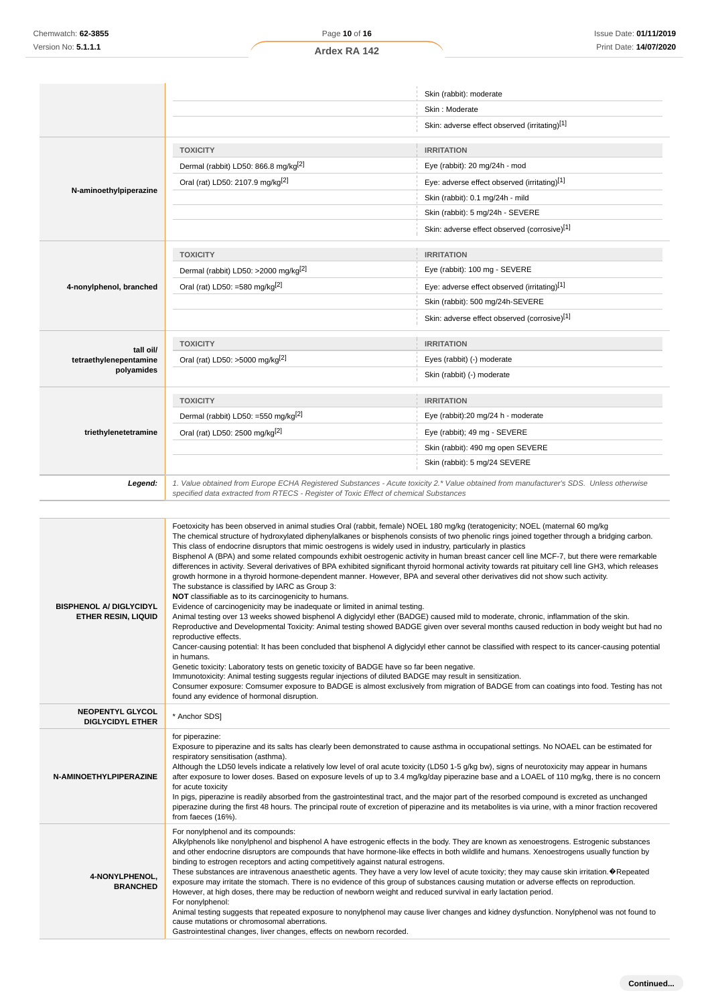|                         |                                                                                                                                                                                                                                 | Skin (rabbit): moderate                                                                                                                                                                                                                                                                                                                                                                                                         |
|-------------------------|---------------------------------------------------------------------------------------------------------------------------------------------------------------------------------------------------------------------------------|---------------------------------------------------------------------------------------------------------------------------------------------------------------------------------------------------------------------------------------------------------------------------------------------------------------------------------------------------------------------------------------------------------------------------------|
|                         |                                                                                                                                                                                                                                 | Skin: Moderate                                                                                                                                                                                                                                                                                                                                                                                                                  |
|                         |                                                                                                                                                                                                                                 | Skin: adverse effect observed (irritating)[1]                                                                                                                                                                                                                                                                                                                                                                                   |
|                         | <b>TOXICITY</b>                                                                                                                                                                                                                 | <b>IRRITATION</b>                                                                                                                                                                                                                                                                                                                                                                                                               |
|                         | Dermal (rabbit) LD50: 866.8 mg/kg <sup>[2]</sup>                                                                                                                                                                                | Eye (rabbit): 20 mg/24h - mod                                                                                                                                                                                                                                                                                                                                                                                                   |
|                         | Oral (rat) LD50: 2107.9 mg/kg <sup>[2]</sup>                                                                                                                                                                                    | Eye: adverse effect observed (irritating)[1]                                                                                                                                                                                                                                                                                                                                                                                    |
| N-aminoethylpiperazine  |                                                                                                                                                                                                                                 | Skin (rabbit): 0.1 mg/24h - mild                                                                                                                                                                                                                                                                                                                                                                                                |
|                         |                                                                                                                                                                                                                                 | Skin (rabbit): 5 mg/24h - SEVERE                                                                                                                                                                                                                                                                                                                                                                                                |
|                         |                                                                                                                                                                                                                                 | Skin: adverse effect observed (corrosive)[1]                                                                                                                                                                                                                                                                                                                                                                                    |
|                         | <b>TOXICITY</b>                                                                                                                                                                                                                 | <b>IRRITATION</b>                                                                                                                                                                                                                                                                                                                                                                                                               |
|                         | Dermal (rabbit) LD50: >2000 mg/kg <sup>[2]</sup>                                                                                                                                                                                | Eye (rabbit): 100 mg - SEVERE                                                                                                                                                                                                                                                                                                                                                                                                   |
| 4-nonylphenol, branched | Oral (rat) LD50: =580 mg/kg $^{[2]}$                                                                                                                                                                                            | Eye: adverse effect observed (irritating)[1]                                                                                                                                                                                                                                                                                                                                                                                    |
|                         |                                                                                                                                                                                                                                 | Skin (rabbit): 500 mg/24h-SEVERE                                                                                                                                                                                                                                                                                                                                                                                                |
|                         |                                                                                                                                                                                                                                 | Skin: adverse effect observed (corrosive)[1]                                                                                                                                                                                                                                                                                                                                                                                    |
| tall oil/               | <b>TOXICITY</b>                                                                                                                                                                                                                 | <b>IRRITATION</b>                                                                                                                                                                                                                                                                                                                                                                                                               |
| tetraethylenepentamine  | Oral (rat) LD50: >5000 mg/kg <sup>[2]</sup>                                                                                                                                                                                     | Eyes (rabbit) (-) moderate                                                                                                                                                                                                                                                                                                                                                                                                      |
| polyamides              |                                                                                                                                                                                                                                 | Skin (rabbit) (-) moderate                                                                                                                                                                                                                                                                                                                                                                                                      |
|                         | <b>TOXICITY</b>                                                                                                                                                                                                                 | <b>IRRITATION</b>                                                                                                                                                                                                                                                                                                                                                                                                               |
|                         | Dermal (rabbit) LD50: =550 mg/kg <sup>[2]</sup>                                                                                                                                                                                 | Eye (rabbit):20 mg/24 h - moderate                                                                                                                                                                                                                                                                                                                                                                                              |
| triethylenetetramine    | Oral (rat) LD50: 2500 mg/kg[2]                                                                                                                                                                                                  | Eye (rabbit); 49 mg - SEVERE                                                                                                                                                                                                                                                                                                                                                                                                    |
|                         |                                                                                                                                                                                                                                 | Skin (rabbit): 490 mg open SEVERE                                                                                                                                                                                                                                                                                                                                                                                               |
|                         |                                                                                                                                                                                                                                 | Skin (rabbit): 5 mg/24 SEVERE                                                                                                                                                                                                                                                                                                                                                                                                   |
| Legend:                 | 1. Value obtained from Europe ECHA Registered Substances - Acute toxicity 2.* Value obtained from manufacturer's SDS. Unless otherwise<br>specified data extracted from RTECS - Register of Toxic Effect of chemical Substances |                                                                                                                                                                                                                                                                                                                                                                                                                                 |
|                         | This class of endocrine disruptors that mimic oestrogens is widely used in industry, particularly in plastics                                                                                                                   | Foetoxicity has been observed in animal studies Oral (rabbit, female) NOEL 180 mg/kg (teratogenicity; NOEL (maternal 60 mg/kg)<br>The chemical structure of hydroxylated diphenylalkanes or bisphenols consists of two phenolic rings joined together through a bridging carbon.<br>Bisphenol A (BPA) and some related compounds exhibit oestrogenic activity in human breast cancer cell line MCF-7, but there were remarkable |

| <b>BISPHENOL A/ DIGLYCIDYL</b><br>ETHER RESIN, LIQUID | differences in activity. Several derivatives of BPA exhibited significant thyroid hormonal activity towards rat pituitary cell line GH3, which releases<br>growth hormone in a thyroid hormone-dependent manner. However, BPA and several other derivatives did not show such activity.<br>The substance is classified by IARC as Group 3:<br>NOT classifiable as to its carcinogenicity to humans.<br>Evidence of carcinogenicity may be inadequate or limited in animal testing.<br>Animal testing over 13 weeks showed bisphenol A diglycidyl ether (BADGE) caused mild to moderate, chronic, inflammation of the skin.<br>Reproductive and Developmental Toxicity: Animal testing showed BADGE given over several months caused reduction in body weight but had no<br>reproductive effects.<br>Cancer-causing potential: It has been concluded that bisphenol A diglycidyl ether cannot be classified with respect to its cancer-causing potential<br>in humans.<br>Genetic toxicity: Laboratory tests on genetic toxicity of BADGE have so far been negative.<br>Immunotoxicity: Animal testing suggests regular injections of diluted BADGE may result in sensitization.<br>Consumer exposure: Comsumer exposure to BADGE is almost exclusively from migration of BADGE from can coatings into food. Testing has not<br>found any evidence of hormonal disruption. |
|-------------------------------------------------------|---------------------------------------------------------------------------------------------------------------------------------------------------------------------------------------------------------------------------------------------------------------------------------------------------------------------------------------------------------------------------------------------------------------------------------------------------------------------------------------------------------------------------------------------------------------------------------------------------------------------------------------------------------------------------------------------------------------------------------------------------------------------------------------------------------------------------------------------------------------------------------------------------------------------------------------------------------------------------------------------------------------------------------------------------------------------------------------------------------------------------------------------------------------------------------------------------------------------------------------------------------------------------------------------------------------------------------------------------------------------------|
| <b>NEOPENTYL GLYCOL</b><br><b>DIGLYCIDYL ETHER</b>    | * Anchor SDS1                                                                                                                                                                                                                                                                                                                                                                                                                                                                                                                                                                                                                                                                                                                                                                                                                                                                                                                                                                                                                                                                                                                                                                                                                                                                                                                                                             |
| N-AMINOETHYLPIPERAZINE                                | for piperazine:<br>Exposure to piperazine and its salts has clearly been demonstrated to cause asthma in occupational settings. No NOAEL can be estimated for<br>respiratory sensitisation (asthma).<br>Although the LD50 levels indicate a relatively low level of oral acute toxicity (LD50 1-5 g/kg bw), signs of neurotoxicity may appear in humans<br>after exposure to lower doses. Based on exposure levels of up to 3.4 mg/kg/day piperazine base and a LOAEL of 110 mg/kg, there is no concern<br>for acute toxicity<br>In pigs, piperazine is readily absorbed from the gastrointestinal tract, and the major part of the resorbed compound is excreted as unchanged<br>piperazine during the first 48 hours. The principal route of excretion of piperazine and its metabolites is via urine, with a minor fraction recovered<br>from faeces (16%).                                                                                                                                                                                                                                                                                                                                                                                                                                                                                                            |
| 4-NONYLPHENOL.<br><b>BRANCHED</b>                     | For nonylphenol and its compounds:<br>Alkylphenols like nonylphenol and bisphenol A have estrogenic effects in the body. They are known as xenoestrogens. Estrogenic substances<br>and other endocrine disruptors are compounds that have hormone-like effects in both wildlife and humans. Xenoestrogens usually function by<br>binding to estrogen receptors and acting competitively against natural estrogens.<br>These substances are intravenous anaesthetic agents. They have a very low level of acute toxicity; they may cause skin irritation. <sup>O</sup> Repeated<br>exposure may irritate the stomach. There is no evidence of this group of substances causing mutation or adverse effects on reproduction.<br>However, at high doses, there may be reduction of newborn weight and reduced survival in early lactation period.<br>For nonylphenol:<br>Animal testing suggests that repeated exposure to nonylphenol may cause liver changes and kidney dysfunction. Nonylphenol was not found to<br>cause mutations or chromosomal aberrations.<br>Gastrointestinal changes, liver changes, effects on newborn recorded.                                                                                                                                                                                                                                  |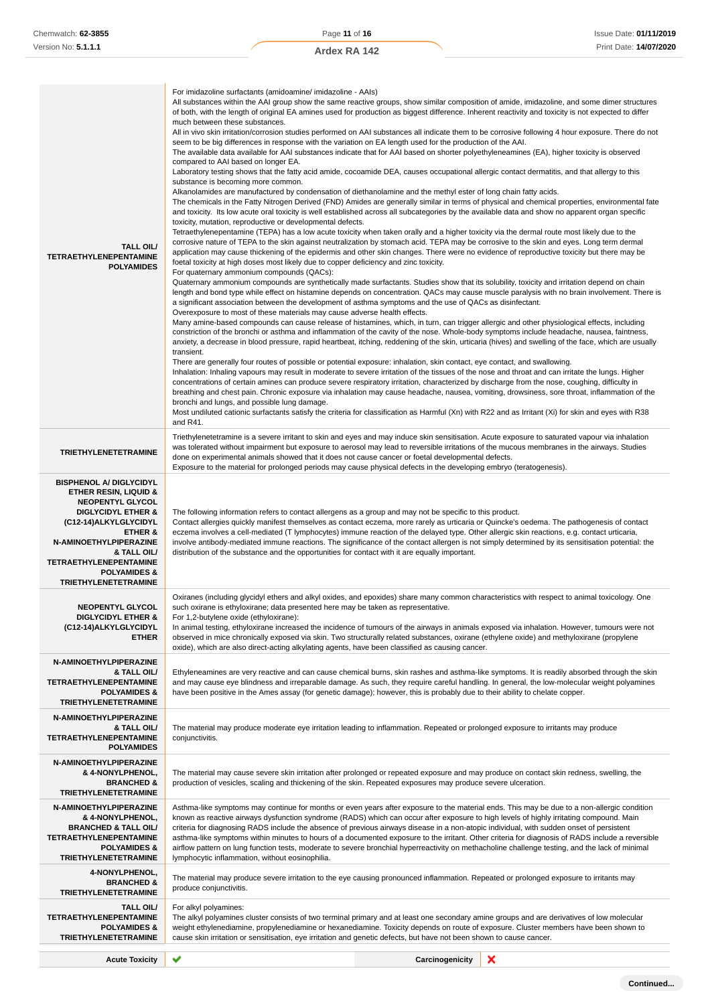| TALL OIL/<br><b>TETRAETHYLENEPENTAMINE</b><br><b>POLYAMIDES</b>                                                                                                                                                                                                                                                   | For imidazoline surfactants (amidoamine/imidazoline - AAIs)<br>All substances within the AAI group show the same reactive groups, show similar composition of amide, imidazoline, and some dimer structures<br>of both, with the length of original EA amines used for production as biggest difference. Inherent reactivity and toxicity is not expected to differ<br>much between these substances.<br>All in vivo skin irritation/corrosion studies performed on AAI substances all indicate them to be corrosive following 4 hour exposure. There do not<br>seem to be big differences in response with the variation on EA length used for the production of the AAI.<br>The available data available for AAI substances indicate that for AAI based on shorter polyethyleneamines (EA), higher toxicity is observed<br>compared to AAI based on longer EA.<br>Laboratory testing shows that the fatty acid amide, cocoamide DEA, causes occupational allergic contact dermatitis, and that allergy to this<br>substance is becoming more common.<br>Alkanolamides are manufactured by condensation of diethanolamine and the methyl ester of long chain fatty acids.<br>The chemicals in the Fatty Nitrogen Derived (FND) Amides are generally similar in terms of physical and chemical properties, environmental fate<br>and toxicity. Its low acute oral toxicity is well established across all subcategories by the available data and show no apparent organ specific<br>toxicity, mutation, reproductive or developmental defects.<br>Tetraethylenepentamine (TEPA) has a low acute toxicity when taken orally and a higher toxicity via the dermal route most likely due to the<br>corrosive nature of TEPA to the skin against neutralization by stomach acid. TEPA may be corrosive to the skin and eyes. Long term dermal<br>application may cause thickening of the epidermis and other skin changes. There were no evidence of reproductive toxicity but there may be<br>foetal toxicity at high doses most likely due to copper deficiency and zinc toxicity.<br>For quaternary ammonium compounds (QACs):<br>Quaternary ammonium compounds are synthetically made surfactants. Studies show that its solubility, toxicity and irritation depend on chain<br>length and bond type while effect on histamine depends on concentration. QACs may cause muscle paralysis with no brain involvement. There is<br>a significant association between the development of asthma symptoms and the use of QACs as disinfectant.<br>Overexposure to most of these materials may cause adverse health effects.<br>Many amine-based compounds can cause release of histamines, which, in turn, can trigger allergic and other physiological effects, including<br>constriction of the bronchi or asthma and inflammation of the cavity of the nose. Whole-body symptoms include headache, nausea, faintness,<br>anxiety, a decrease in blood pressure, rapid heartbeat, itching, reddening of the skin, urticaria (hives) and swelling of the face, which are usually<br>transient.<br>There are generally four routes of possible or potential exposure: inhalation, skin contact, eye contact, and swallowing.<br>Inhalation: Inhaling vapours may result in moderate to severe irritation of the tissues of the nose and throat and can irritate the lungs. Higher<br>concentrations of certain amines can produce severe respiratory irritation, characterized by discharge from the nose, coughing, difficulty in<br>breathing and chest pain. Chronic exposure via inhalation may cause headache, nausea, vomiting, drowsiness, sore throat, inflammation of the<br>bronchi and lungs, and possible lung damage.<br>Most undiluted cationic surfactants satisfy the criteria for classification as Harmful (Xn) with R22 and as Irritant (Xi) for skin and eyes with R38<br>and R41. |  |  |
|-------------------------------------------------------------------------------------------------------------------------------------------------------------------------------------------------------------------------------------------------------------------------------------------------------------------|----------------------------------------------------------------------------------------------------------------------------------------------------------------------------------------------------------------------------------------------------------------------------------------------------------------------------------------------------------------------------------------------------------------------------------------------------------------------------------------------------------------------------------------------------------------------------------------------------------------------------------------------------------------------------------------------------------------------------------------------------------------------------------------------------------------------------------------------------------------------------------------------------------------------------------------------------------------------------------------------------------------------------------------------------------------------------------------------------------------------------------------------------------------------------------------------------------------------------------------------------------------------------------------------------------------------------------------------------------------------------------------------------------------------------------------------------------------------------------------------------------------------------------------------------------------------------------------------------------------------------------------------------------------------------------------------------------------------------------------------------------------------------------------------------------------------------------------------------------------------------------------------------------------------------------------------------------------------------------------------------------------------------------------------------------------------------------------------------------------------------------------------------------------------------------------------------------------------------------------------------------------------------------------------------------------------------------------------------------------------------------------------------------------------------------------------------------------------------------------------------------------------------------------------------------------------------------------------------------------------------------------------------------------------------------------------------------------------------------------------------------------------------------------------------------------------------------------------------------------------------------------------------------------------------------------------------------------------------------------------------------------------------------------------------------------------------------------------------------------------------------------------------------------------------------------------------------------------------------------------------------------------------------------------------------------------------------------------------------------------------------------------------------------------------------------------------------------------------------------------------------------------------------------------------------------------------------------------------------------------------------------------------------------------------------------------------------------------------------------------------------------------------------------------------------------------------------------------------------------------------------------------------|--|--|
| <b>TRIETHYLENETETRAMINE</b>                                                                                                                                                                                                                                                                                       | Triethylenetetramine is a severe irritant to skin and eyes and may induce skin sensitisation. Acute exposure to saturated vapour via inhalation<br>was tolerated without impairment but exposure to aerosol may lead to reversible irritations of the mucous membranes in the airways. Studies<br>done on experimental animals showed that it does not cause cancer or foetal developmental defects.<br>Exposure to the material for prolonged periods may cause physical defects in the developing embryo (teratogenesis).                                                                                                                                                                                                                                                                                                                                                                                                                                                                                                                                                                                                                                                                                                                                                                                                                                                                                                                                                                                                                                                                                                                                                                                                                                                                                                                                                                                                                                                                                                                                                                                                                                                                                                                                                                                                                                                                                                                                                                                                                                                                                                                                                                                                                                                                                                                                                                                                                                                                                                                                                                                                                                                                                                                                                                                                                                                                                                                                                                                                                                                                                                                                                                                                                                                                                                                                                                        |  |  |
| <b>BISPHENOL A/ DIGLYCIDYL</b><br><b>ETHER RESIN, LIQUID &amp;</b><br><b>NEOPENTYL GLYCOL</b><br><b>DIGLYCIDYL ETHER &amp;</b><br>(C12-14)ALKYLGLYCIDYL<br><b>ETHER &amp;</b><br>N-AMINOETHYLPIPERAZINE<br>& TALL OIL/<br><b>TETRAETHYLENEPENTAMINE</b><br><b>POLYAMIDES &amp;</b><br><b>TRIETHYLENETETRAMINE</b> | The following information refers to contact allergens as a group and may not be specific to this product.<br>Contact allergies quickly manifest themselves as contact eczema, more rarely as urticaria or Quincke's oedema. The pathogenesis of contact<br>eczema involves a cell-mediated (T lymphocytes) immune reaction of the delayed type. Other allergic skin reactions, e.g. contact urticaria,<br>involve antibody-mediated immune reactions. The significance of the contact allergen is not simply determined by its sensitisation potential: the<br>distribution of the substance and the opportunities for contact with it are equally important.                                                                                                                                                                                                                                                                                                                                                                                                                                                                                                                                                                                                                                                                                                                                                                                                                                                                                                                                                                                                                                                                                                                                                                                                                                                                                                                                                                                                                                                                                                                                                                                                                                                                                                                                                                                                                                                                                                                                                                                                                                                                                                                                                                                                                                                                                                                                                                                                                                                                                                                                                                                                                                                                                                                                                                                                                                                                                                                                                                                                                                                                                                                                                                                                                                      |  |  |
| <b>NEOPENTYL GLYCOL</b><br><b>DIGLYCIDYL ETHER &amp;</b><br>(C12-14) ALKYLGLYCIDYL<br><b>ETHER</b>                                                                                                                                                                                                                | Oxiranes (including glycidyl ethers and alkyl oxides, and epoxides) share many common characteristics with respect to animal toxicology. One<br>such oxirane is ethyloxirane; data presented here may be taken as representative.<br>For 1,2-butylene oxide (ethyloxirane):<br>In animal testing, ethyloxirane increased the incidence of tumours of the airways in animals exposed via inhalation. However, tumours were not<br>observed in mice chronically exposed via skin. Two structurally related substances, oxirane (ethylene oxide) and methyloxirane (propylene<br>oxide), which are also direct-acting alkylating agents, have been classified as causing cancer.                                                                                                                                                                                                                                                                                                                                                                                                                                                                                                                                                                                                                                                                                                                                                                                                                                                                                                                                                                                                                                                                                                                                                                                                                                                                                                                                                                                                                                                                                                                                                                                                                                                                                                                                                                                                                                                                                                                                                                                                                                                                                                                                                                                                                                                                                                                                                                                                                                                                                                                                                                                                                                                                                                                                                                                                                                                                                                                                                                                                                                                                                                                                                                                                                      |  |  |
| N-AMINOETHYLPIPERAZINE<br>& TALL OIL/<br><b>TETRAETHYLENEPENTAMINE</b><br><b>POLYAMIDES &amp;</b><br><b>TRIETHYLENETETRAMINE</b>                                                                                                                                                                                  | Ethyleneamines are very reactive and can cause chemical burns, skin rashes and asthma-like symptoms. It is readily absorbed through the skin<br>and may cause eye blindness and irreparable damage. As such, they require careful handling. In general, the low-molecular weight polyamines<br>have been positive in the Ames assay (for genetic damage); however, this is probably due to their ability to chelate copper.                                                                                                                                                                                                                                                                                                                                                                                                                                                                                                                                                                                                                                                                                                                                                                                                                                                                                                                                                                                                                                                                                                                                                                                                                                                                                                                                                                                                                                                                                                                                                                                                                                                                                                                                                                                                                                                                                                                                                                                                                                                                                                                                                                                                                                                                                                                                                                                                                                                                                                                                                                                                                                                                                                                                                                                                                                                                                                                                                                                                                                                                                                                                                                                                                                                                                                                                                                                                                                                                        |  |  |
| N-AMINOETHYLPIPERAZINE<br>& TALL OIL/<br><b>TETRAETHYLENEPENTAMINE</b><br><b>POLYAMIDES</b>                                                                                                                                                                                                                       | The material may produce moderate eye irritation leading to inflammation. Repeated or prolonged exposure to irritants may produce<br>conjunctivitis.                                                                                                                                                                                                                                                                                                                                                                                                                                                                                                                                                                                                                                                                                                                                                                                                                                                                                                                                                                                                                                                                                                                                                                                                                                                                                                                                                                                                                                                                                                                                                                                                                                                                                                                                                                                                                                                                                                                                                                                                                                                                                                                                                                                                                                                                                                                                                                                                                                                                                                                                                                                                                                                                                                                                                                                                                                                                                                                                                                                                                                                                                                                                                                                                                                                                                                                                                                                                                                                                                                                                                                                                                                                                                                                                               |  |  |
| N-AMINOETHYLPIPERAZINE<br>& 4-NONYLPHENOL,<br><b>BRANCHED &amp;</b><br><b>TRIETHYLENETETRAMINE</b>                                                                                                                                                                                                                | The material may cause severe skin irritation after prolonged or repeated exposure and may produce on contact skin redness, swelling, the<br>production of vesicles, scaling and thickening of the skin. Repeated exposures may produce severe ulceration.                                                                                                                                                                                                                                                                                                                                                                                                                                                                                                                                                                                                                                                                                                                                                                                                                                                                                                                                                                                                                                                                                                                                                                                                                                                                                                                                                                                                                                                                                                                                                                                                                                                                                                                                                                                                                                                                                                                                                                                                                                                                                                                                                                                                                                                                                                                                                                                                                                                                                                                                                                                                                                                                                                                                                                                                                                                                                                                                                                                                                                                                                                                                                                                                                                                                                                                                                                                                                                                                                                                                                                                                                                         |  |  |
| N-AMINOETHYLPIPERAZINE<br>& 4-NONYLPHENOL,<br><b>BRANCHED &amp; TALL OIL/</b><br><b>TETRAETHYLENEPENTAMINE</b><br><b>POLYAMIDES &amp;</b><br><b>TRIETHYLENETETRAMINE</b>                                                                                                                                          | Asthma-like symptoms may continue for months or even years after exposure to the material ends. This may be due to a non-allergic condition<br>known as reactive airways dysfunction syndrome (RADS) which can occur after exposure to high levels of highly irritating compound. Main<br>criteria for diagnosing RADS include the absence of previous airways disease in a non-atopic individual, with sudden onset of persistent<br>asthma-like symptoms within minutes to hours of a documented exposure to the irritant. Other criteria for diagnosis of RADS include a reversible<br>airflow pattern on lung function tests, moderate to severe bronchial hyperreactivity on methacholine challenge testing, and the lack of minimal<br>lymphocytic inflammation, without eosinophilia.                                                                                                                                                                                                                                                                                                                                                                                                                                                                                                                                                                                                                                                                                                                                                                                                                                                                                                                                                                                                                                                                                                                                                                                                                                                                                                                                                                                                                                                                                                                                                                                                                                                                                                                                                                                                                                                                                                                                                                                                                                                                                                                                                                                                                                                                                                                                                                                                                                                                                                                                                                                                                                                                                                                                                                                                                                                                                                                                                                                                                                                                                                       |  |  |
| 4-NONYLPHENOL,<br><b>BRANCHED &amp;</b><br><b>TRIETHYLENETETRAMINE</b>                                                                                                                                                                                                                                            | The material may produce severe irritation to the eye causing pronounced inflammation. Repeated or prolonged exposure to irritants may<br>produce conjunctivitis.                                                                                                                                                                                                                                                                                                                                                                                                                                                                                                                                                                                                                                                                                                                                                                                                                                                                                                                                                                                                                                                                                                                                                                                                                                                                                                                                                                                                                                                                                                                                                                                                                                                                                                                                                                                                                                                                                                                                                                                                                                                                                                                                                                                                                                                                                                                                                                                                                                                                                                                                                                                                                                                                                                                                                                                                                                                                                                                                                                                                                                                                                                                                                                                                                                                                                                                                                                                                                                                                                                                                                                                                                                                                                                                                  |  |  |
| TALL OIL/<br><b>TETRAETHYLENEPENTAMINE</b><br><b>POLYAMIDES &amp;</b><br><b>TRIETHYLENETETRAMINE</b>                                                                                                                                                                                                              | For alkyl polyamines:<br>The alkyl polyamines cluster consists of two terminal primary and at least one secondary amine groups and are derivatives of low molecular<br>weight ethylenediamine, propylenediamine or hexanediamine. Toxicity depends on route of exposure. Cluster members have been shown to<br>cause skin irritation or sensitisation, eye irritation and genetic defects, but have not been shown to cause cancer.                                                                                                                                                                                                                                                                                                                                                                                                                                                                                                                                                                                                                                                                                                                                                                                                                                                                                                                                                                                                                                                                                                                                                                                                                                                                                                                                                                                                                                                                                                                                                                                                                                                                                                                                                                                                                                                                                                                                                                                                                                                                                                                                                                                                                                                                                                                                                                                                                                                                                                                                                                                                                                                                                                                                                                                                                                                                                                                                                                                                                                                                                                                                                                                                                                                                                                                                                                                                                                                                |  |  |
| <b>Acute Toxicity</b>                                                                                                                                                                                                                                                                                             | ✔<br>Carcinogenicity<br>×                                                                                                                                                                                                                                                                                                                                                                                                                                                                                                                                                                                                                                                                                                                                                                                                                                                                                                                                                                                                                                                                                                                                                                                                                                                                                                                                                                                                                                                                                                                                                                                                                                                                                                                                                                                                                                                                                                                                                                                                                                                                                                                                                                                                                                                                                                                                                                                                                                                                                                                                                                                                                                                                                                                                                                                                                                                                                                                                                                                                                                                                                                                                                                                                                                                                                                                                                                                                                                                                                                                                                                                                                                                                                                                                                                                                                                                                          |  |  |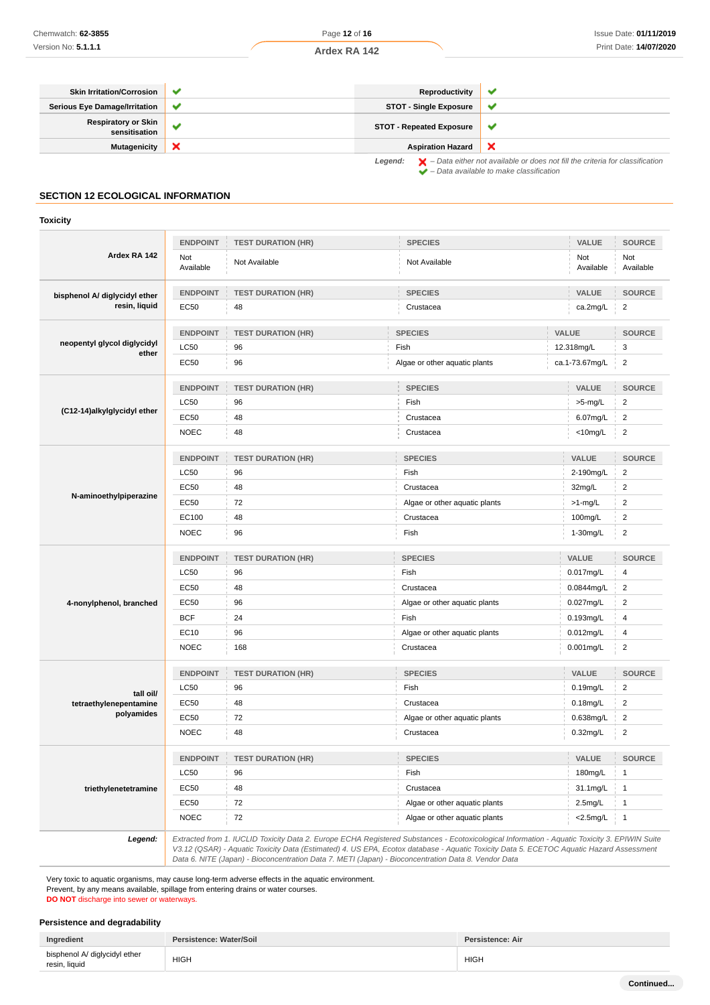| <b>Skin Irritation/Corrosion</b>            | ◡            | Reproductivity                  |                                                                                                    |
|---------------------------------------------|--------------|---------------------------------|----------------------------------------------------------------------------------------------------|
| <b>Serious Eye Damage/Irritation</b>        | $\checkmark$ | <b>STOT - Single Exposure</b>   |                                                                                                    |
| <b>Respiratory or Skin</b><br>sensitisation |              | <b>STOT - Repeated Exposure</b> |                                                                                                    |
| <b>Mutagenicity</b>                         | ж            | <b>Aspiration Hazard</b>        |                                                                                                    |
|                                             |              | Legend:                         | $\blacktriangleright$ - Data either not available or does not fill the criteria for classification |

 $\blacktriangleright$  – Data available to make classification

# **SECTION 12 ECOLOGICAL INFORMATION**

#### **Toxicity**

|                                      | <b>ENDPOINT</b>  | <b>TEST DURATION (HR)</b> | <b>SPECIES</b>                | VALUE            | <b>SOURCE</b>           |
|--------------------------------------|------------------|---------------------------|-------------------------------|------------------|-------------------------|
| Ardex RA 142                         | Not<br>Available | Not Available             | Not Available                 | Not<br>Available | Not<br>Available        |
| bisphenol A/ diglycidyl ether        | <b>ENDPOINT</b>  | <b>TEST DURATION (HR)</b> | <b>SPECIES</b>                | VALUE            | <b>SOURCE</b>           |
| resin, liquid                        | EC50             | 48                        | Crustacea                     | ca.2mg/L         | $\overline{\mathbf{c}}$ |
|                                      | <b>ENDPOINT</b>  | <b>TEST DURATION (HR)</b> | <b>SPECIES</b>                | VALUE            |                         |
| neopentyl glycol diglycidyl<br>ether | <b>LC50</b>      | 96                        | Fish                          | 12.318mg/L       | 3                       |
|                                      | <b>EC50</b>      | 96                        | Algae or other aquatic plants | ca.1-73.67mg/L   | $\overline{2}$          |
|                                      | <b>ENDPOINT</b>  | <b>TEST DURATION (HR)</b> | <b>SPECIES</b>                | VALUE            | <b>SOURCE</b>           |
|                                      | <b>LC50</b>      | 96                        | Fish                          | >5-mg/L          | $\overline{2}$          |
| (C12-14)alkylglycidyl ether          | <b>EC50</b>      | 48                        | Crustacea                     | 6.07mg/L         | $\overline{2}$          |
|                                      | <b>NOEC</b>      | 48                        | Crustacea                     | $<$ 10mg/L       | $\overline{2}$          |
|                                      | <b>ENDPOINT</b>  | <b>TEST DURATION (HR)</b> | <b>SPECIES</b>                | VALUE            | <b>SOURCE</b>           |
|                                      | <b>LC50</b>      | 96                        | Fish                          | 2-190mg/L        | $\overline{2}$          |
|                                      | <b>EC50</b>      | 48                        | Crustacea                     | 32mg/L           | $\overline{\mathbf{c}}$ |
| N-aminoethylpiperazine               | <b>EC50</b>      | 72                        | Algae or other aquatic plants | $>1$ -mg/L       | $\overline{2}$          |
|                                      | EC100            | 48                        | Crustacea                     | 100mg/L          | $\overline{2}$          |
|                                      | <b>NOEC</b>      | 96                        | Fish                          | 1-30mg/L         | $\overline{2}$          |
|                                      | <b>ENDPOINT</b>  | <b>TEST DURATION (HR)</b> | <b>SPECIES</b>                | VALUE            | <b>SOURCE</b>           |
|                                      | <b>LC50</b>      | 96                        | Fish                          | 0.017mg/L        | 4                       |
|                                      | <b>EC50</b>      | 48                        | Crustacea                     | 0.0844mg/L       | $\overline{2}$          |
| 4-nonylphenol, branched              | <b>EC50</b>      | 96                        | Algae or other aquatic plants | 0.027mg/L        | $\overline{2}$          |
|                                      | <b>BCF</b>       | 24                        | Fish                          | 0.193mg/L        |                         |
|                                      | EC10             | 96                        | Algae or other aquatic plants | 0.012mg/L        | 4                       |
|                                      | <b>NOEC</b>      | 168                       | Crustacea                     | $0.001$ mg/L     | $\overline{2}$          |
|                                      | <b>ENDPOINT</b>  | <b>TEST DURATION (HR)</b> | <b>SPECIES</b>                | VALUE            | <b>SOURCE</b>           |
| tall oil/                            | <b>LC50</b>      | 96                        | Fish                          | 0.19mg/L         | $\overline{2}$          |
| tetraethylenepentamine               | <b>EC50</b>      | 48                        | Crustacea                     | $0.18$ mg/L      | $\overline{c}$          |
| polyamides                           | <b>EC50</b>      | 72                        | Algae or other aquatic plants | $0.638$ mg/L     | $\overline{2}$          |
|                                      | <b>NOEC</b>      | 48                        | Crustacea                     | $0.32$ mg/L      | $\overline{2}$          |
|                                      | <b>ENDPOINT</b>  | <b>TEST DURATION (HR)</b> | <b>SPECIES</b>                | VALUE            | <b>SOURCE</b>           |
|                                      | <b>LC50</b>      | 96                        | Fish                          | 180mg/L          | $\mathbf{1}$            |
| triethylenetetramine                 | EC50             | 48                        | Crustacea                     | 31.1mg/L         | $\mathbf{1}$            |
|                                      | <b>EC50</b>      | 72                        | Algae or other aquatic plants | $2.5$ mg/L       | $\mathbf{1}$            |
|                                      | <b>NOEC</b>      | 72                        | Algae or other aquatic plants | $<$ 2.5mg/L      | $\mathbf{1}$            |

Data 6. NITE (Japan) - Bioconcentration Data 7. METI (Japan) - Bioconcentration Data 8. Vendor Data

Very toxic to aquatic organisms, may cause long-term adverse effects in the aquatic environment. Prevent, by any means available, spillage from entering drains or water courses.

**DO NOT** discharge into sewer or waterways.

# **Persistence and degradability**

| Ingredient                    | Persistence: Water/Soil | Persistence: Air |
|-------------------------------|-------------------------|------------------|
| bisphenol A/ diglycidyl ether | <b>HIGH</b>             | <b>HIGH</b>      |
| resin, liquid                 |                         |                  |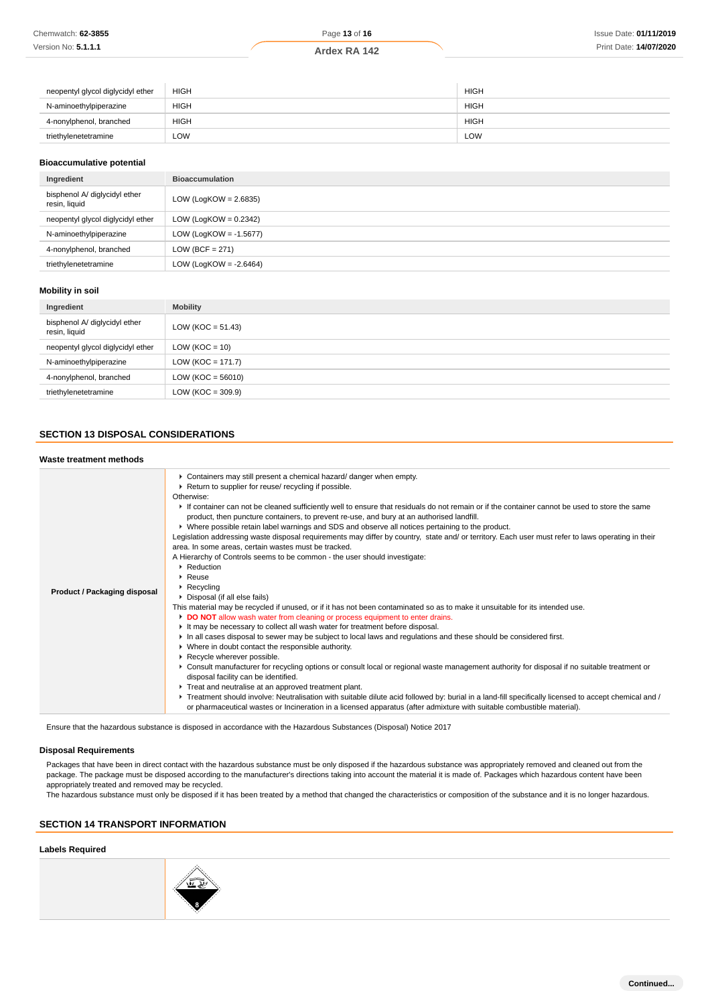| neopentyl glycol diglycidyl ether | <b>HIGH</b> | <b>HIGH</b> |
|-----------------------------------|-------------|-------------|
| N-aminoethylpiperazine            | <b>HIGH</b> | <b>HIGH</b> |
| 4-nonylphenol, branched           | <b>HIGH</b> | <b>HIGH</b> |
| triethylenetetramine              | LOW         | LOW         |

#### **Bioaccumulative potential**

| Ingredient                                     | <b>Bioaccumulation</b>    |
|------------------------------------------------|---------------------------|
| bisphenol A/ diglycidyl ether<br>resin, liquid | LOW (LogKOW = $2.6835$ )  |
| neopentyl glycol diglycidyl ether              | LOW (LogKOW = $0.2342$ )  |
| N-aminoethylpiperazine                         | LOW (LogKOW = $-1.5677$ ) |
| 4-nonylphenol, branched                        | LOW (BCF = $271$ )        |
| triethylenetetramine                           | LOW (LogKOW = $-2.6464$ ) |

#### **Mobility in soil**

| Ingredient                                     | <b>Mobility</b>       |
|------------------------------------------------|-----------------------|
| bisphenol A/ diglycidyl ether<br>resin, liquid | LOW ( $KOC = 51.43$ ) |
| neopentyl glycol diglycidyl ether              | LOW ( $KOC = 10$ )    |
| N-aminoethylpiperazine                         | $LOW (KOC = 171.7)$   |
| 4-nonylphenol, branched                        | LOW ( $KOC = 56010$ ) |
| triethylenetetramine                           | $LOW (KOC = 309.9)$   |

# **SECTION 13 DISPOSAL CONSIDERATIONS**

| Waste treatment methods      |                                                                                                                                                                                                                                                                                                                                                                                                                                                                                                                                                                                                                                                                                                                                                                                                                                                                                                                                                                                                                                                                                                                                                                                                                                                                                                                                                                                                                                                                                                                                                                                                                                                                                                                                                                                                                                                                                                                                              |
|------------------------------|----------------------------------------------------------------------------------------------------------------------------------------------------------------------------------------------------------------------------------------------------------------------------------------------------------------------------------------------------------------------------------------------------------------------------------------------------------------------------------------------------------------------------------------------------------------------------------------------------------------------------------------------------------------------------------------------------------------------------------------------------------------------------------------------------------------------------------------------------------------------------------------------------------------------------------------------------------------------------------------------------------------------------------------------------------------------------------------------------------------------------------------------------------------------------------------------------------------------------------------------------------------------------------------------------------------------------------------------------------------------------------------------------------------------------------------------------------------------------------------------------------------------------------------------------------------------------------------------------------------------------------------------------------------------------------------------------------------------------------------------------------------------------------------------------------------------------------------------------------------------------------------------------------------------------------------------|
| Product / Packaging disposal | Containers may still present a chemical hazard/ danger when empty.<br>▶ Return to supplier for reuse/ recycling if possible.<br>Otherwise:<br>If container can not be cleaned sufficiently well to ensure that residuals do not remain or if the container cannot be used to store the same<br>product, then puncture containers, to prevent re-use, and bury at an authorised landfill.<br>▶ Where possible retain label warnings and SDS and observe all notices pertaining to the product.<br>Legislation addressing waste disposal requirements may differ by country, state and/ or territory. Each user must refer to laws operating in their<br>area. In some areas, certain wastes must be tracked.<br>A Hierarchy of Controls seems to be common - the user should investigate:<br>Reduction<br>$\triangleright$ Reuse<br>$\triangleright$ Recycling<br>Disposal (if all else fails)<br>This material may be recycled if unused, or if it has not been contaminated so as to make it unsuitable for its intended use.<br>DO NOT allow wash water from cleaning or process equipment to enter drains.<br>It may be necessary to collect all wash water for treatment before disposal.<br>In all cases disposal to sewer may be subject to local laws and regulations and these should be considered first.<br>• Where in doubt contact the responsible authority.<br>Recycle wherever possible.<br>► Consult manufacturer for recycling options or consult local or regional waste management authority for disposal if no suitable treatment or<br>disposal facility can be identified.<br>Treat and neutralise at an approved treatment plant.<br>▶ Treatment should involve: Neutralisation with suitable dilute acid followed by: burial in a land-fill specifically licensed to accept chemical and /<br>or pharmaceutical wastes or Incineration in a licensed apparatus (after admixture with suitable combustible material). |

Ensure that the hazardous substance is disposed in accordance with the Hazardous Substances (Disposal) Notice 2017

## **Disposal Requirements**

Packages that have been in direct contact with the hazardous substance must be only disposed if the hazardous substance was appropriately removed and cleaned out from the package. The package must be disposed according to the manufacturer's directions taking into account the material it is made of. Packages which hazardous content have been appropriately treated and removed may be recycled.

The hazardous substance must only be disposed if it has been treated by a method that changed the characteristics or composition of the substance and it is no longer hazardous.

#### **SECTION 14 TRANSPORT INFORMATION**

#### **Labels Required**

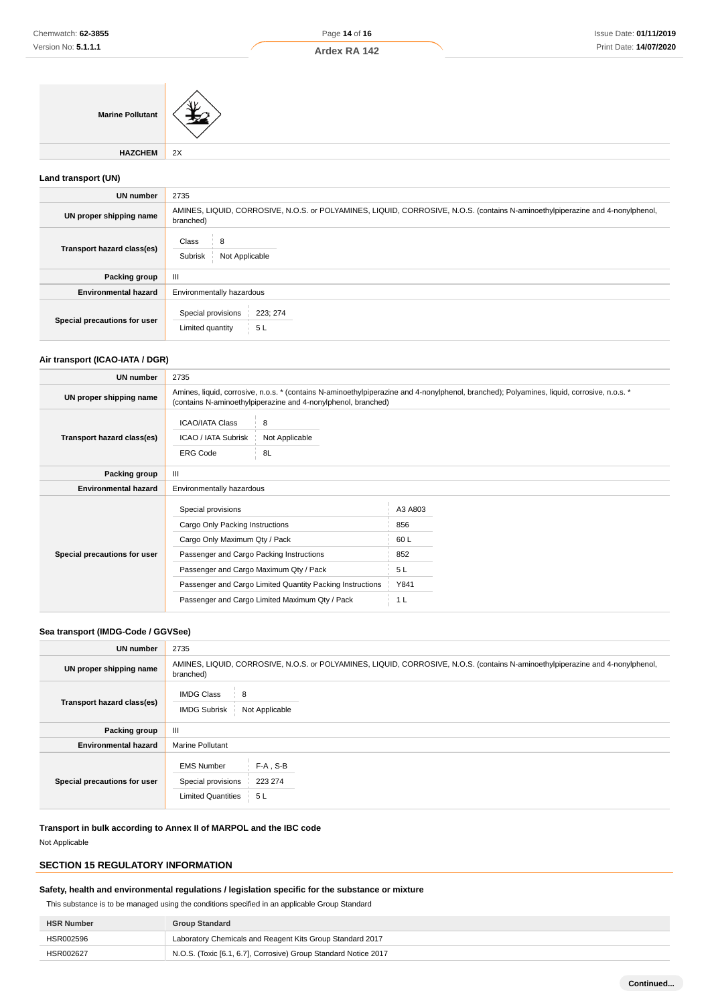**Marine Pollutant**

**HAZCHEM** 2X

# **Land transport (UN)**

| UN number                    | 2735                                                                                                                                        |  |
|------------------------------|---------------------------------------------------------------------------------------------------------------------------------------------|--|
| UN proper shipping name      | AMINES, LIQUID, CORROSIVE, N.O.S. or POLYAMINES, LIQUID, CORROSIVE, N.O.S. (contains N-aminoethylpiperazine and 4-nonylphenol,<br>branched) |  |
| Transport hazard class(es)   | Class<br>8<br>Not Applicable<br>Subrisk                                                                                                     |  |
| Packing group                | Ш                                                                                                                                           |  |
| <b>Environmental hazard</b>  | Environmentally hazardous                                                                                                                   |  |
| Special precautions for user | Special provisions<br>223; 274<br>Limited quantity<br>5L                                                                                    |  |

# **Air transport (ICAO-IATA / DGR)**

| <b>UN number</b>             | 2735                                                                                                                                                                                                        |                      |         |
|------------------------------|-------------------------------------------------------------------------------------------------------------------------------------------------------------------------------------------------------------|----------------------|---------|
| UN proper shipping name      | Amines, liquid, corrosive, n.o.s. * (contains N-aminoethylpiperazine and 4-nonylphenol, branched); Polyamines, liquid, corrosive, n.o.s. *<br>(contains N-aminoethylpiperazine and 4-nonylphenol, branched) |                      |         |
|                              | <b>ICAO/IATA Class</b>                                                                                                                                                                                      | 8                    |         |
| Transport hazard class(es)   | ICAO / IATA Subrisk<br><b>ERG Code</b>                                                                                                                                                                      | Not Applicable<br>8L |         |
|                              |                                                                                                                                                                                                             |                      |         |
| Packing group                | Ш                                                                                                                                                                                                           |                      |         |
| <b>Environmental hazard</b>  | Environmentally hazardous                                                                                                                                                                                   |                      |         |
|                              | Special provisions                                                                                                                                                                                          |                      | A3 A803 |
|                              |                                                                                                                                                                                                             |                      |         |
|                              | Cargo Only Packing Instructions                                                                                                                                                                             |                      | 856     |
| Special precautions for user | Cargo Only Maximum Qty / Pack                                                                                                                                                                               |                      | 60L     |
|                              | Passenger and Cargo Packing Instructions                                                                                                                                                                    |                      | 852     |
|                              | Passenger and Cargo Maximum Qty / Pack                                                                                                                                                                      |                      | 5 L     |
|                              | Passenger and Cargo Limited Quantity Packing Instructions                                                                                                                                                   |                      | Y841    |
|                              | Passenger and Cargo Limited Maximum Qty / Pack                                                                                                                                                              |                      | 1 L     |

# **Sea transport (IMDG-Code / GGVSee)**

| <b>UN</b> number             | 2735                                                                                                                                        |  |
|------------------------------|---------------------------------------------------------------------------------------------------------------------------------------------|--|
| UN proper shipping name      | AMINES, LIQUID, CORROSIVE, N.O.S. or POLYAMINES, LIQUID, CORROSIVE, N.O.S. (contains N-aminoethylpiperazine and 4-nonylphenol,<br>branched) |  |
| Transport hazard class(es)   | <b>IMDG Class</b><br>8<br><b>IMDG Subrisk</b><br>Not Applicable                                                                             |  |
| Packing group                | $\mathbf{III}$                                                                                                                              |  |
| <b>Environmental hazard</b>  | <b>Marine Pollutant</b>                                                                                                                     |  |
| Special precautions for user | $F-A$ , S-B<br><b>EMS Number</b><br>Special provisions<br>223 274<br><b>Limited Quantities</b><br>5 L                                       |  |

**Transport in bulk according to Annex II of MARPOL and the IBC code**

Not Applicable

# **SECTION 15 REGULATORY INFORMATION**

## **Safety, health and environmental regulations / legislation specific for the substance or mixture**

This substance is to be managed using the conditions specified in an applicable Group Standard

| <b>HSR Number</b> | <b>Group Standard</b>                                           |
|-------------------|-----------------------------------------------------------------|
| HSR002596         | Laboratory Chemicals and Reagent Kits Group Standard 2017       |
| HSR002627         | N.O.S. (Toxic [6.1, 6.7], Corrosive) Group Standard Notice 2017 |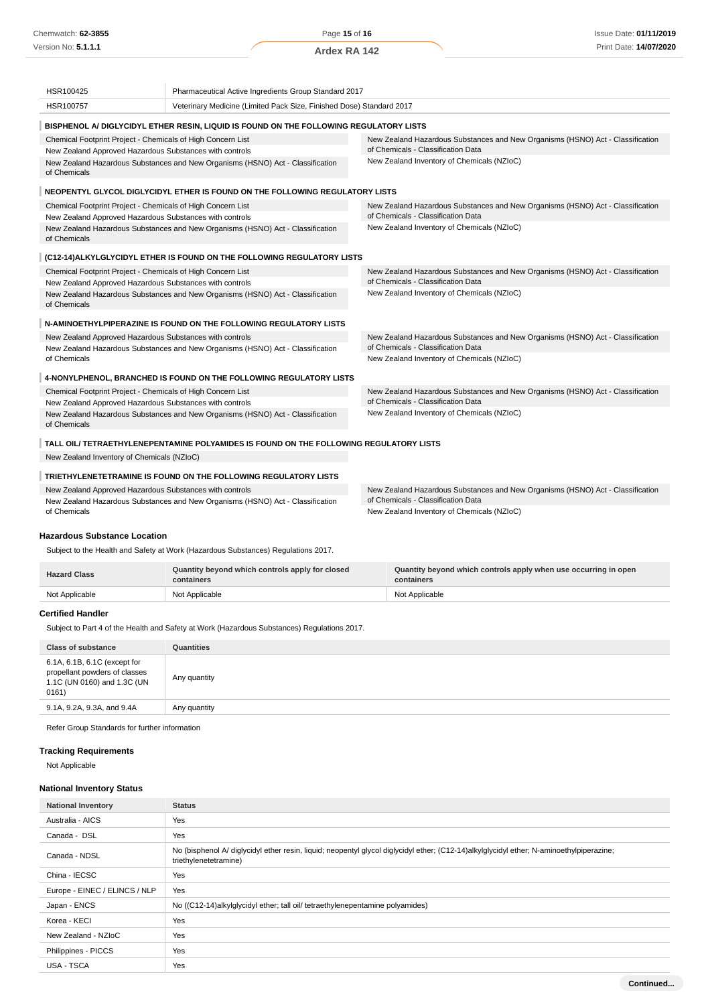Page **15** of **16**

**Ardex RA 142**

| HSR100425                                                                                                                                    | Pharmaceutical Active Ingredients Group Standard 2017                                  |                                                                                                                      |  |
|----------------------------------------------------------------------------------------------------------------------------------------------|----------------------------------------------------------------------------------------|----------------------------------------------------------------------------------------------------------------------|--|
| HSR100757                                                                                                                                    | Veterinary Medicine (Limited Pack Size, Finished Dose) Standard 2017                   |                                                                                                                      |  |
|                                                                                                                                              | BISPHENOL A/ DIGLYCIDYL ETHER RESIN, LIQUID IS FOUND ON THE FOLLOWING REGULATORY LISTS |                                                                                                                      |  |
| Chemical Footprint Project - Chemicals of High Concern List<br>New Zealand Approved Hazardous Substances with controls                       |                                                                                        | New Zealand Hazardous Substances and New Organisms (HSNO) Act - Classification<br>of Chemicals - Classification Data |  |
| New Zealand Hazardous Substances and New Organisms (HSNO) Act - Classification<br>of Chemicals                                               |                                                                                        | New Zealand Inventory of Chemicals (NZIoC)                                                                           |  |
|                                                                                                                                              | NEOPENTYL GLYCOL DIGLYCIDYL ETHER IS FOUND ON THE FOLLOWING REGULATORY LISTS           |                                                                                                                      |  |
| Chemical Footprint Project - Chemicals of High Concern List<br>New Zealand Approved Hazardous Substances with controls                       |                                                                                        | New Zealand Hazardous Substances and New Organisms (HSNO) Act - Classification<br>of Chemicals - Classification Data |  |
| of Chemicals                                                                                                                                 | New Zealand Hazardous Substances and New Organisms (HSNO) Act - Classification         | New Zealand Inventory of Chemicals (NZIoC)                                                                           |  |
|                                                                                                                                              | (C12-14) ALKYLGLYCIDYL ETHER IS FOUND ON THE FOLLOWING REGULATORY LISTS                |                                                                                                                      |  |
| Chemical Footprint Project - Chemicals of High Concern List<br>New Zealand Approved Hazardous Substances with controls                       |                                                                                        | New Zealand Hazardous Substances and New Organisms (HSNO) Act - Classification<br>of Chemicals - Classification Data |  |
| New Zealand Hazardous Substances and New Organisms (HSNO) Act - Classification<br>of Chemicals                                               |                                                                                        | New Zealand Inventory of Chemicals (NZIoC)                                                                           |  |
|                                                                                                                                              | N-AMINOETHYLPIPERAZINE IS FOUND ON THE FOLLOWING REGULATORY LISTS                      |                                                                                                                      |  |
| New Zealand Approved Hazardous Substances with controls                                                                                      | New Zealand Hazardous Substances and New Organisms (HSNO) Act - Classification         | New Zealand Hazardous Substances and New Organisms (HSNO) Act - Classification<br>of Chemicals - Classification Data |  |
| of Chemicals                                                                                                                                 |                                                                                        | New Zealand Inventory of Chemicals (NZIoC)                                                                           |  |
|                                                                                                                                              | 4-NONYLPHENOL, BRANCHED IS FOUND ON THE FOLLOWING REGULATORY LISTS                     |                                                                                                                      |  |
| Chemical Footprint Project - Chemicals of High Concern List<br>New Zealand Approved Hazardous Substances with controls                       |                                                                                        | New Zealand Hazardous Substances and New Organisms (HSNO) Act - Classification<br>of Chemicals - Classification Data |  |
| New Zealand Inventory of Chemicals (NZIoC)<br>New Zealand Hazardous Substances and New Organisms (HSNO) Act - Classification<br>of Chemicals |                                                                                        |                                                                                                                      |  |
|                                                                                                                                              | TALL OIL/ TETRAETHYLENEPENTAMINE POLYAMIDES IS FOUND ON THE FOLLOWING REGULATORY LISTS |                                                                                                                      |  |
| New Zealand Inventory of Chemicals (NZIoC)                                                                                                   |                                                                                        |                                                                                                                      |  |
|                                                                                                                                              | TRIETHYLENETETRAMINE IS FOUND ON THE FOLLOWING REGULATORY LISTS                        |                                                                                                                      |  |
| New Zealand Approved Hazardous Substances with controls<br>New Zealand Hazardous Substances and New Organisms (HSNO) Act - Classification    |                                                                                        | New Zealand Hazardous Substances and New Organisms (HSNO) Act - Classification<br>of Chemicals - Classification Data |  |

New Zealand Hazardous Substances and New Organisms (HSNO) Act - Classification of Chemicals

## **Hazardous Substance Location**

Subject to the Health and Safety at Work (Hazardous Substances) Regulations 2017.

| <b>Hazard Class</b> | Quantity beyond which controls apply for closed<br>containers | Quantity beyond which controls apply when use occurring in open<br>containers |
|---------------------|---------------------------------------------------------------|-------------------------------------------------------------------------------|
| Not Applicable      | Not Applicable                                                | Not Applicable                                                                |

New Zealand Inventory of Chemicals (NZIoC)

#### **Certified Handler**

Subject to Part 4 of the Health and Safety at Work (Hazardous Substances) Regulations 2017.

| <b>Class of substance</b>                                                                             | Quantities   |
|-------------------------------------------------------------------------------------------------------|--------------|
| 6.1A, 6.1B, 6.1C (except for<br>propellant powders of classes<br>1.1C (UN 0160) and 1.3C (UN<br>0161) | Any quantity |
| 9.1A, 9.2A, 9.3A, and 9.4A                                                                            | Any quantity |
|                                                                                                       |              |

Refer Group Standards for further information

## **Tracking Requirements**

Not Applicable

# **National Inventory Status**

| <b>National Inventory</b>     | <b>Status</b>                                                                                                                                                     |
|-------------------------------|-------------------------------------------------------------------------------------------------------------------------------------------------------------------|
| Australia - AICS              | Yes                                                                                                                                                               |
| Canada - DSL                  | Yes                                                                                                                                                               |
| Canada - NDSL                 | No (bisphenol A/ diglycidyl ether resin, liquid; neopentyl glycol diglycidyl ether; (C12-14)alkylglycidyl ether; N-aminoethylpiperazine;<br>triethylenetetramine) |
| China - IECSC                 | Yes                                                                                                                                                               |
| Europe - EINEC / ELINCS / NLP | Yes                                                                                                                                                               |
| Japan - ENCS                  | No ((C12-14)alkylglycidyl ether; tall oil/ tetraethylenepentamine polyamides)                                                                                     |
| Korea - KECI                  | Yes                                                                                                                                                               |
| New Zealand - NZIoC           | Yes                                                                                                                                                               |
| Philippines - PICCS           | Yes                                                                                                                                                               |
| USA - TSCA                    | Yes                                                                                                                                                               |
|                               | Continued                                                                                                                                                         |